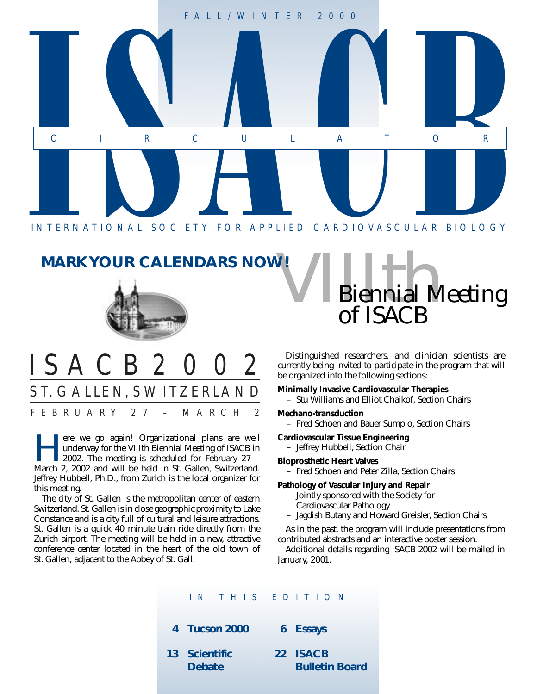

#### **MARK YOUR CALENDARS NOW!**



### ISACB 2002 ST. GALLEN, SWITZERLAND FEBRUARY 27 – MARCH 2

There we go again! Organizational plans are well<br>underway for the VIIIth Biennial Meeting of ISACB in<br>2002. The meeting is scheduled for February 27 –<br>March 2, 2002 and will be held in St. Gallen, Switzerland underway for the VIIIth Biennial Meeting of ISACB in March 2, 2002 and will be held in St. Gallen, Switzerland. Jeffrey Hubbell, Ph.D., from Zurich is the local organizer for this meeting.

The city of St. Gallen is the metropolitan center of eastern Switzerland. St. Gallen is in close geographic proximity to Lake Constance and is a city full of cultural and leisure attractions. St. Gallen is a quick 40 minute train ride directly from the Zurich airport. The meeting will be held in a new, attractive conference center located in the heart of the old town of St. Gallen, adjacent to the Abbey of St. Gall.

Distinguished researchers, and clinician scientists are currently being invited to participate in the program that will be organized into the following sections:

of ISACB

Biennial Meeting

#### **Minimally Invasive Cardiovascular Therapies**

– Stu Williams and Elliot Chaikof, Section Chairs

#### **Mechano-transduction**

– Fred Schoen and Bauer Sumpio, Section Chairs

#### **Cardiovascular Tissue Engineering**

– Jeffrey Hubbell, Section Chair

#### **Bioprosthetic Heart Valves**

– Fred Schoen and Peter Zilla, Section Chairs

#### **Pathology of Vascular Injury and Repair**

- Jointly sponsored with the Society for
	- Cardiovascular Pathology
- Jagdish Butany and Howard Greisler, Section Chairs

As in the past, the program will include presentations from contributed abstracts and an interactive poster session.

Additional details regarding ISACB 2002 will be mailed in January, 2001.

#### IN THIS EDITION

- **4 Tucson 2000 6 Essays**
- **13 Scientific Debate 22 ISACB Bulletin Board**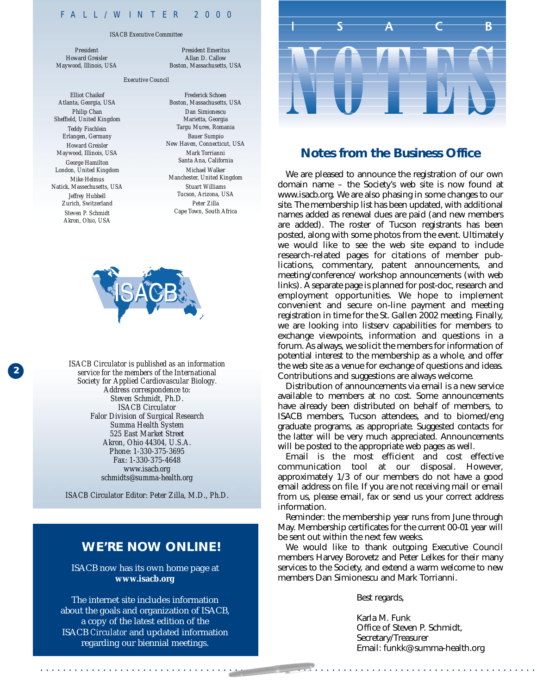#### FALL/WINTER 2000

#### *ISACB Executive Committee*

*President Howard Greisler Maywood, Illinois, USA*

*President Emeritus Allan D. Callow Boston, Massachusetts, USA*

#### *Executive Council*

*Elliot Chaikof Atlanta, Georgia, USA Philip Chan Sheffield, United Kingdom Teddy Fischlein Erlangen, Germany Howard Greisler Maywood, Illinois, USA George Hamilton London, United Kingdom Mike Helmus Natick, Massechusetts, USA Jeffrey Hubbell Zurich, Switzerland Steven P. Schmidt Akron, Ohio, USA*

**2**

*Frederick Schoen Boston, Massachusetts, USA Dan Simionescu Marietta, Georgia Targu Mures, Romania Bauer Sumpio New Haven, Connecticut, USA Mark Torrianni Santa Ana, California Michael Walker Manchester, United Kingdom Stuart Williams Tucson, Arizona, USA Peter Zilla Cape Town, South Africa*



**<sup>2</sup>** *ISACB Circulator is published as an information service for the members of the International Society for Applied Cardiovascular Biology. Address correspondence to: Steven Schmidt, Ph.D. ISACB Circulator Falor Division of Surgical Research Summa Health System 525 East Market Street Akron, Ohio 44304, U.S.A. Phone: 1-330-375-3695 Fax: 1-330-375-4648 www.isacb.org schmidts@summa-health.org*

*ISACB Circulator Editor: Peter Zilla, M.D., Ph.D.*

#### **WE'RE NOW ONLINE!**

ISACB now has its own home page at **www.isacb.org**

The internet site includes information about the goals and organization of ISACB, a copy of the latest edition of the ISACB *Circulator* and updated information regarding our biennial meetings.



#### **Notes from the Business Office**

We are pleased to announce the registration of our own domain name – the Society's web site is now found at www.isacb.org. We are also phasing in some changes to our site. The membership list has been updated, with additional names added as renewal dues are paid (and new members are added). The roster of Tucson registrants has been posted, along with some photos from the event. Ultimately we would like to see the web site expand to include research-related pages for citations of member publications, commentary, patent announcements, and meeting/conference/ workshop announcements (with web links). A separate page is planned for post-doc, research and employment opportunities. We hope to implement convenient and secure on-line payment and meeting registration in time for the St. Gallen 2002 meeting. Finally, we are looking into listserv capabilities for members to exchange viewpoints, information and questions in a forum. As always, we solicit the members for information of potential interest to the membership as a whole, and offer the web site as a venue for exchange of questions and ideas. Contributions and suggestions are always welcome.

Distribution of announcements via email is a new service available to members at no cost. Some announcements have already been distributed on behalf of members, to ISACB members, Tucson attendees, and to biomed/eng graduate programs, as appropriate. Suggested contacts for the latter will be very much appreciated. Announcements will be posted to the appropriate web pages as well.

Email is the most efficient and cost effective communication tool at our disposal. However, approximately 1/3 of our members do not have a good email address on file. If you are not receiving mail or email from us, please email, fax or send us your correct address information.

Reminder: the membership year runs from June through May. Membership certificates for the current 00-01 year will be sent out within the next few weeks.

We would like to thank outgoing Executive Council members Harvey Borovetz and Peter Lelkes for their many services to the Society, and extend a warm welcome to new members Dan Simionescu and Mark Torrianni.

Best regards,

. . . . . . . . . . . . . . . . . . . . . . . . . . . . . . . . . . . . . . . . . . . . . . . . . . . . . . . . . . . . . . . . . . . . . . . . . . . . . . . . . . . . . . .

Karla M. Funk Office of Steven P. Schmidt, Secretary/Treasurer Email: funkk@summa-health.org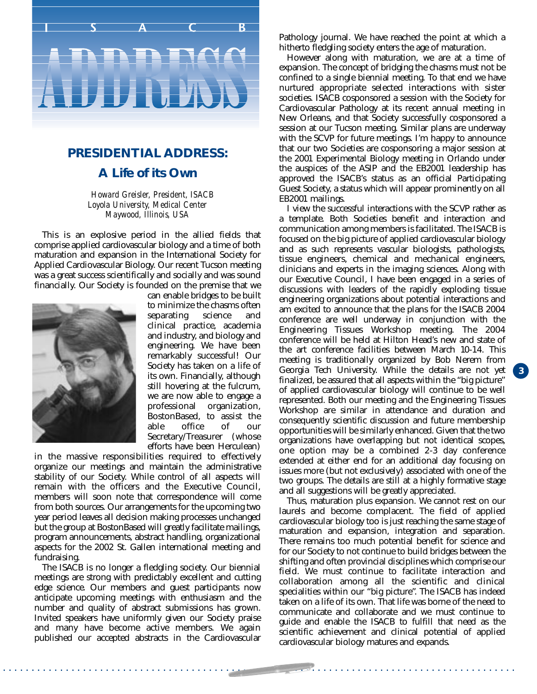

#### **PRESIDENTIAL ADDRESS:**

#### **A Life of its Own**

*Howard Greisler, President, ISACB Loyola University, Medical Center Maywood, Illinois, USA*

This is an explosive period in the allied fields that comprise applied cardiovascular biology and a time of both maturation and expansion in the International Society for Applied Cardiovascular Biology. Our recent Tucson meeting was a great success scientifically and socially and was sound financially. Our Society is founded on the premise that we



can enable bridges to be built to minimize the chasms often separating science and clinical practice, academia and industry, and biology and engineering. We have been remarkably successful! Our Society has taken on a life of its own. Financially, although still hovering at the fulcrum, we are now able to engage a professional organization, BostonBased, to assist the<br>able office of our able office of our Secretary/Treasurer (whose efforts have been Herculean)

in the massive responsibilities required to effectively organize our meetings and maintain the administrative stability of our Society. While control of all aspects will remain with the officers and the Executive Council, members will soon note that correspondence will come from both sources. Our arrangements for the upcoming two year period leaves all decision making processes unchanged but the group at BostonBased will greatly facilitate mailings, program announcements, abstract handling, organizational aspects for the 2002 St. Gallen international meeting and fundraising.

The ISACB is no longer a fledgling society. Our biennial meetings are strong with predictably excellent and cutting edge science. Our members and guest participants now anticipate upcoming meetings with enthusiasm and the number and quality of abstract submissions has grown. Invited speakers have uniformly given our Society praise and many have become active members. We again published our accepted abstracts in the Cardiovascular Pathology journal. We have reached the point at which a hitherto fledgling society enters the age of maturation.

However along with maturation, we are at a time of expansion. The concept of bridging the chasms must not be confined to a single biennial meeting. To that end we have nurtured appropriate selected interactions with sister societies. ISACB cosponsored a session with the Society for Cardiovascular Pathology at its recent annual meeting in New Orleans, and that Society successfully cosponsored a session at our Tucson meeting. Similar plans are underway with the SCVP for future meetings. I'm happy to announce that our two Societies are cosponsoring a major session at the 2001 Experimental Biology meeting in Orlando under the auspices of the ASIP and the EB2001 leadership has approved the ISACB's status as an official Participating Guest Society, a status which will appear prominently on all EB2001 mailings.

I view the successful interactions with the SCVP rather as a template. Both Societies benefit and interaction and communication among members is facilitated. The ISACB is focused on the big picture of applied cardiovascular biology and as such represents vascular biologists, pathologists, tissue engineers, chemical and mechanical engineers, clinicians and experts in the imaging sciences. Along with our Executive Council, I have been engaged in a series of discussions with leaders of the rapidly exploding tissue engineering organizations about potential interactions and am excited to announce that the plans for the ISACB 2004 conference are well underway in conjunction with the Engineering Tissues Workshop meeting. The 2004 conference will be held at Hilton Head's new and state of the art conference facilities between March 10-14. This meeting is traditionally organized by Bob Nerem from Georgia Tech University. While the details are not yet finalized, be assured that all aspects within the "big picture" of applied cardiovascular biology will continue to be well represented. Both our meeting and the Engineering Tissues Workshop are similar in attendance and duration and consequently scientific discussion and future membership opportunities will be similarly enhanced. Given that the two organizations have overlapping but not identical scopes, one option may be a combined 2-3 day conference extended at either end for an additional day focusing on issues more (but not exclusively) associated with one of the two groups. The details are still at a highly formative stage and all suggestions will be greatly appreciated.

Thus, maturation plus expansion. We cannot rest on our laurels and become complacent. The field of applied cardiovascular biology too is just reaching the same stage of maturation and expansion, integration and separation. There remains too much potential benefit for science and for our Society to not continue to build bridges between the shifting and often provincial disciplines which comprise our field. We must continue to facilitate interaction and collaboration among all the scientific and clinical specialities within our "big picture". The ISACB has indeed taken on a life of its own. That life was borne of the need to communicate and collaborate and we must continue to guide and enable the ISACB to fulfill that need as the scientific achievement and clinical potential of applied cardiovascular biology matures and expands.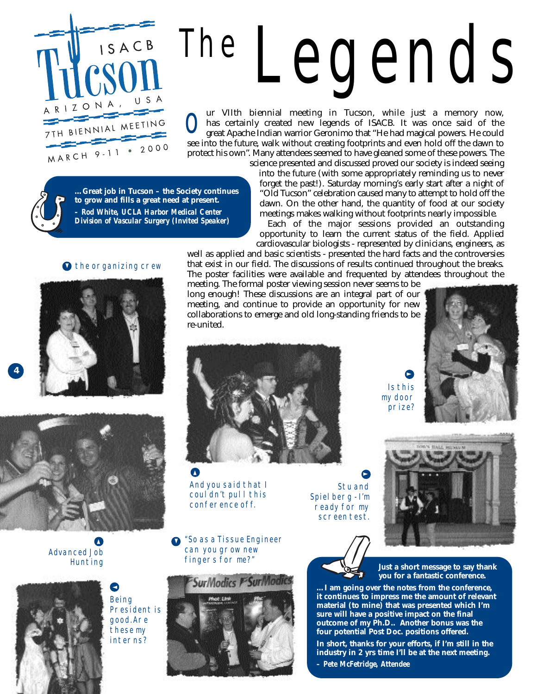

# THE LEGENDS

ur VIIth biennial meeting in Tucson, while just a memory now, has certainly created new legends of ISACB. It was once said of the great Apache Indian warrior Geronimo that "He had magical powers. He could If we are the future, walk without creating footprints and even hold off the dawn to see into the future, walk without creating footprints and even hold off the dawn to protect his own". Many attendees seemed to have gleaned some of these powers. The science presented and discussed proved our society is indeed seeing

**…Great job in Tucson – the Society continues to grow and fills a great need at present.** *– Rod White, UCLA Harbor Medical Center Division of Vascular Surgery (Invited Speaker)*

#### **D** THE ORGANIZING CREW





**4**

Advanced Job **HUNTING**  $\boldsymbol{\Delta}$ 



**BEING** President is good.Are these my **INTERNS?** 

▼

▲



into the future (with some appropriately reminding us to never forget the past!). Saturday morning's early start after a night of "Old Tucson" celebration caused many to attempt to hold off the dawn. On the other hand, the quantity of food at our society meetings makes walking without footprints nearly impossible. Each of the major sessions provided an outstanding

opportunity to learn the current status of the field. Applied cardiovascular biologists - represented by clinicians, engineers, as

well as applied and basic scientists - presented the hard facts and the controversies that exist in our field. The discussions of results continued throughout the breaks. The poster facilities were available and frequented by attendees throughout the

meeting. The formal poster viewing session never seems to be long enough! These discussions are an integral part of our meeting, and continue to provide an opportunity for new collaborations to emerge and old long-standing friends to be re-united.



And you said that I couldn't pull this conference off.

"So as a Tissue Engineer can you grow new fingers for me?"

Spielberg - I'm **READY FOR MY** screen test.





**STU AND** 

▲

**Just a short message to say thank you for a fantastic conference.**

**…I am going over the notes from the conference, it continues to impress me the amount of relevant material (to mine) that was presented which I'm sure will have a positive impact on the final outcome of my Ph.D.. Another bonus was the four potential Post Doc. positions offered.**

Is this

▲

**In short, thanks for your efforts, if I'm still in the industry in 2 yrs time I'll be at the next meeting.**

*– Pete McFetridge, Attendee*

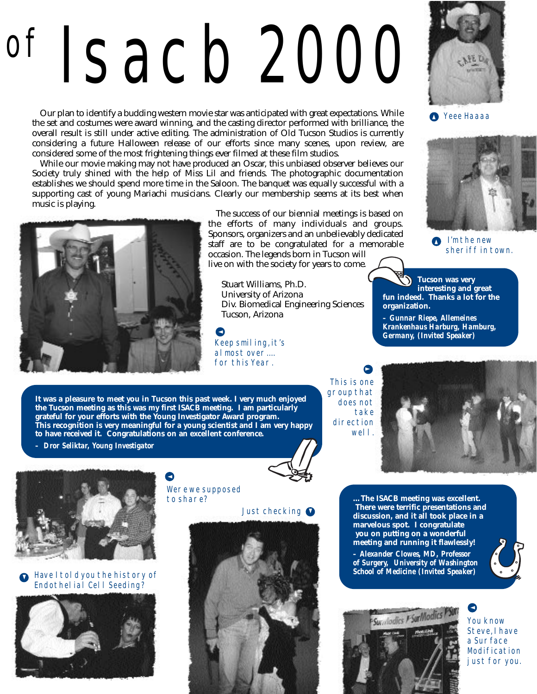# OF ISACB 2000

Our plan to identify a budding western movie star was anticipated with great expectations. While the set and costumes were award winning, and the casting director performed with brilliance, the overall result is still under active editing. The administration of Old Tucson Studios is currently considering a future Halloween release of our efforts since many scenes, upon review, are considered some of the most frightening things ever filmed at these film studios.

While our movie making may not have produced an Oscar, this unbiased observer believes our Society truly shined with the help of Miss Lil and friends. The photographic documentation establishes we should spend more time in the Saloon. The banquet was equally successful with a supporting cast of young Mariachi musicians. Clearly our membership seems at its best when music is playing.



The success of our biennial meetings is based on the efforts of many individuals and groups. Sponsors, organizers and an unbelievably dedicated staff are to be congratulated for a memorable occasion. The legends born in Tucson will live on with the society for years to come.

Stuart Williams, Ph.D. University of Arizona Div. Biomedical Engineering Sciences Tucson, Arizona

Keep smiling, it's almost over.... for this Year. ▲



**A** YEEE HAAAA



**I'MTHE NEW** SHERIFF IN TOWN.  $\bullet$ 

**Tucson was very interesting and great fun indeed. Thanks a lot for the organization.**

*– Gunnar Riepe, Allemeines Krankenhaus Harburg, Hamburg, Germany, (Invited Speaker)*

**It was a pleasure to meet you in Tucson this past week. I very much enjoyed the Tucson meeting as this was my first ISACB meeting. I am particularly grateful for your efforts with the Young Investigator Award program. This recognition is very meaningful for a young scientist and I am very happy to have received it. Congratulations on an excellent conference.**

▲

*– Dror Seliktar, Young Investigator*



This is one **GROUP THAT** DOES NOT **TAKE DIRECTION** WELL.





#### Have I told you the history of Endothelial Cell Seeding? ▼



Were we supposed TO SHARE?

#### **JUST CHECKING**



**…The ISACB meeting was excellent. There were terrific presentations and discussion, and it all took place in a marvelous spot. I congratulate you on putting on a wonderful meeting and running it flawlessly!**

*– Alexander Clowes, MD, Professor of Surgery, University of Washington School of Medicine (Invited Speaker)*





YOU KNOW **STEVE, I HAVE** a Surface **MODIFICATION JUST FOR YOU.** ▲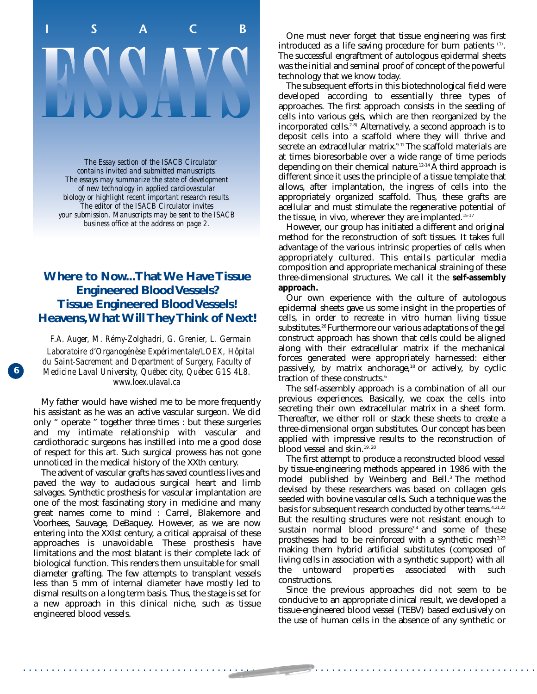### S B<sub>1</sub> П C

*The Essay section of the ISACB Circulator contains invited and submitted manuscripts. The essays may summarize the state of development of new technology in applied cardiovascular biology or highlight recent important research results. The editor of the ISACB Circulator invites your submission. Manuscripts may be sent to the ISACB business office at the address on page 2.*

#### **Where to Now...That We Have Tissue Engineered Blood Vessels? Tissue Engineered Blood Vessels! Heavens,What Will They Think of Next!**

*F.A. Auger, M. Rémy-Zolghadri, G. Grenier, L. Germain Laboratoire d'Organogénèse Expérimentale/LOEX, Hôpital du Saint-Sacrement and Department of Surgery, Faculty of Medicine Laval University, Québec city, Québec G1S 4L8. www.loex.ulaval.ca* 

**6**

My father would have wished me to be more frequently his assistant as he was an active vascular surgeon. We did only " operate " together three times : but these surgeries and my intimate relationship with vascular and cardiothoracic surgeons has instilled into me a good dose of respect for this art. Such surgical prowess has not gone unnoticed in the medical history of the XXth century.

The advent of vascular grafts has saved countless lives and paved the way to audacious surgical heart and limb salvages. Synthetic prosthesis for vascular implantation are one of the most fascinating story in medicine and many great names come to mind : Carrel, Blakemore and Voorhees, Sauvage, DeBaquey. However, as we are now entering into the XXIst century, a critical appraisal of these approaches is unavoidable. These prosthesis have limitations and the most blatant is their complete lack of biological function. This renders them unsuitable for small diameter grafting. The few attempts to transplant vessels less than 5 mm of internal diameter have mostly led to dismal results on a long term basis. Thus, the stage is set for a new approach in this clinical niche, such as tissue engineered blood vessels.

One must never forget that tissue engineering was first introduced as a life saving procedure for burn patients (1). The successful engraftment of autologous epidermal sheets was the initial and seminal proof of concept of the powerful technology that we know today.

The subsequent efforts in this biotechnological field were developed according to essentially three types of approaches. The first approach consists in the seeding of cells into various gels, which are then reorganized by the incorporated cells.<sup> $2-8$ </sup> Alternatively, a second approach is to deposit cells into a scaffold where they will thrive and secrete an extracellular matrix.<sup>9-11</sup> The scaffold materials are at times bioresorbable over a wide range of time periods depending on their chemical nature.<sup>12-14</sup> A third approach is different since it uses the principle of a tissue template that allows, after implantation, the ingress of cells into the appropriately organized scaffold. Thus, these grafts are acellular and must stimulate the regenerative potential of the tissue, in vivo, wherever they are implanted.<sup>15-17</sup>

However, our group has initiated a different and original method for the reconstruction of soft tissues. It takes full advantage of the various intrinsic properties of cells when appropriately cultured. This entails particular media composition and appropriate mechanical straining of these three-dimensional structures. We call it the **self-assembly approach.**

Our own experience with the culture of autologous epidermal sheets gave us some insight in the properties of cells, in order to recreate in vitro human living tissue substitutes.<sup>26</sup> Furthermore our various adaptations of the gel construct approach has shown that cells could be aligned along with their extracellular matrix if the mechanical forces generated were appropriately harnessed: either passively, by matrix anchorage,<sup>18</sup> or actively, by cyclic traction of these constructs.<sup>6</sup>

The self-assembly approach is a combination of all our previous experiences. Basically, we coax the cells into secreting their own extracellular matrix in a sheet form. Thereafter, we either roll or stack these sheets to create a three-dimensional organ substitutes. Our concept has been applied with impressive results to the reconstruction of blood vessel and skin.<sup>19, 20</sup>

The first attempt to produce a reconstructed blood vessel by tissue-engineering methods appeared in 1986 with the model published by Weinberg and Bell.<sup>3</sup> The method devised by these researchers was based on collagen gels seeded with bovine vascular cells. Such a technique was the basis for subsequent research conducted by other teams.<sup>4,21,22</sup> But the resulting structures were not resistant enough to sustain normal blood pressure<sup>3,4</sup> and some of these prostheses had to be reinforced with a synthetic mesh<sup>3,23</sup> making them hybrid artificial substitutes (composed of living cells in association with a synthetic support) with all the untoward properties associated with such constructions.

Since the previous approaches did not seem to be conducive to an appropriate clinical result, we developed a tissue-engineered blood vessel (TEBV) based exclusively on the use of human cells in the absence of any synthetic or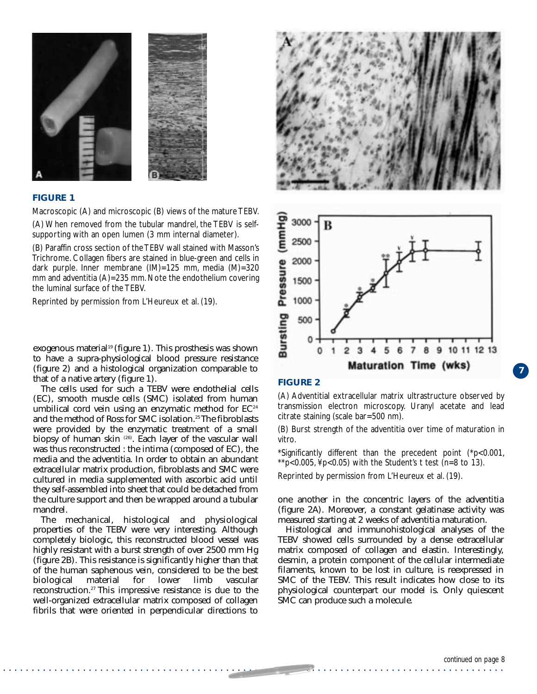

#### **FIGURE 1**

Macroscopic (A) and microscopic (B) views of the mature TEBV. (A) When removed from the tubular mandrel, the TEBV is selfsupporting with an open lumen (3 mm internal diameter).

(B) Paraffin cross section of the TEBV wall stained with Masson's Trichrome. Collagen fibers are stained in blue-green and cells in dark purple. Inner membrane (IM)=125 mm, media (M)=320 mm and adventitia (A)=235 mm. Note the endothelium covering the luminal surface of the TEBV.

Reprinted by permission from L'Heureux et al. (19).

to have a supra-physiological blood pressure resistance that of a native artery (figure 1).

The cells used for such a TEBV were endothelial cells (EC), smooth muscle cells (SMC) isolated from human umbilical cord vein using an enzymatic method for  $EC<sup>24</sup>$ and the method of Ross for SMC isolation.<sup>25</sup> The fibroblasts were provided by the enzymatic treatment of a small biopsy of human skin <sup>(26)</sup>. Each layer of the vascular wall was thus reconstructed : the intima (composed of EC), the media and the adventitia. In order to obtain an abundant extracellular matrix production, fibroblasts and SMC were cultured in media supplemented with ascorbic acid until they self-assembled into sheet that could be detached from the culture support and then be wrapped around a tubular mandrel.

The mechanical, histological and physiological properties of the TEBV were very interesting. Although completely biologic, this reconstructed blood vessel was highly resistant with a burst strength of over 2500 mm Hg (figure 2B). This resistance is significantly higher than that of the human saphenous vein, considered to be the best biological material for lower limb vascular reconstruction.27 This impressive resistance is due to the well-organized extracellular matrix composed of collagen fibrils that were oriented in perpendicular directions to





#### **FIGURE 2**

. . . . . . . . . . . . . . . . . . . . . . . . . . . . . . . . . . . . . . . . . . . . . . . . . . . . . . . . . . . . . . . . . . . . . . . . . . . . . . . . . . . . . . . .

(A) Adventitial extracellular matrix ultrastructure observed by transmission electron microscopy. Uranyl acetate and lead citrate staining (scale bar=500 nm).

(B) Burst strength of the adventitia over time of maturation in vitro.

\*Significantly different than the precedent point (\*p<0.001, \*\*p<0.005,  $4p<0.05$ ) with the Student's t test (n=8 to 13).

Reprinted by permission from L'Heureux et al. (19).

one another in the concentric layers of the adventitia (figure 2A). Moreover, a constant gelatinase activity was measured starting at 2 weeks of adventitia maturation.

Histological and immunohistological analyses of the TEBV showed cells surrounded by a dense extracellular matrix composed of collagen and elastin. Interestingly, desmin, a protein component of the cellular intermediate filaments, known to be lost in culture, is reexpressed in SMC of the TEBV. This result indicates how close to its physiological counterpart our model is. Only quiescent SMC can produce such a molecule.

**2**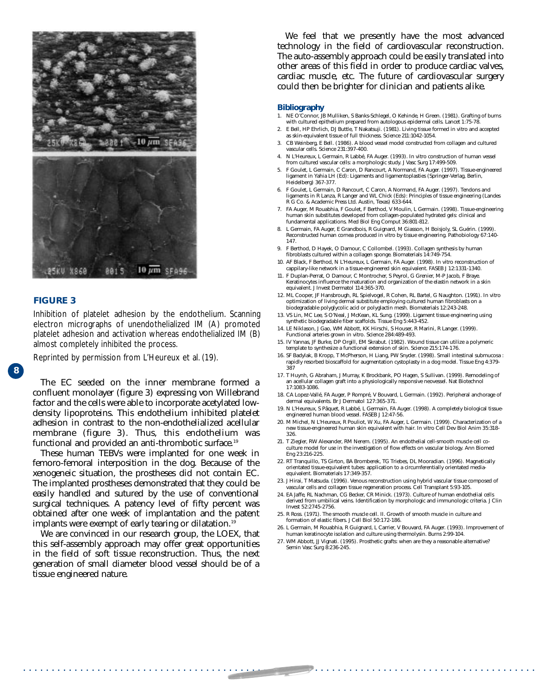

#### **FIGURE 3**

**2**

**8**

Inhibition of platelet adhesion by the endothelium. Scanning electron micrographs of unendothelialized IM (A) promoted platelet adhesion and activation whereas endothelialized IM (B) almost completely inhibited the process.

Reprinted by permission from L'Heureux et al. (19).

The EC seeded on the inner membrane formed a confluent monolayer (figure 3) expressing von Willebrand factor and the cells were able to incorporate acetylated lowdensity lipoproteins. This endothelium inhibited platelet adhesion in contrast to the non-endothelialized acellular membrane (figure 3). Thus, this endothelium was functional and provided an anti-thrombotic surface.<sup>19</sup>

These human TEBVs were implanted for one week in femoro-femoral interposition in the dog. Because of the xenogeneic situation, the prostheses did not contain EC. The implanted prostheses demonstrated that they could be easily handled and sutured by the use of conventional surgical techniques. A patency level of fifty percent was obtained after one week of implantation and the patent implants were exempt of early tearing or dilatation.<sup>19</sup>

We are convinced in our research group, the LOEX, that this self-assembly approach may offer great opportunities in the field of soft tissue reconstruction. Thus, the next generation of small diameter blood vessel should be of a tissue engineered nature.

We feel that we presently have the most advanced technology in the field of cardiovascular reconstruction. The auto-assembly approach could be easily translated into other areas of this field in order to produce cardiac valves, cardiac muscle, etc. The future of cardiovascular surgery could then be brighter for clinician and patients alike.

#### **Bibliography**

- 1. NE O'Connor, JB Mulliken, S Banks-Schlegel, O Kehinde, H Green. (1981). Grafting of burns with cultured epithelium prepared from autologous epidermal cells. Lancet 1:75-78.
- 2. E Bell, HP Ehrlich, DJ Buttle, T Nakatsuji. (1981). Living tissue formed in vitro and accepted as skin-equivalent tissue of full thickness. Science 211:1042-1054.
- 3. CB Weinberg, E Bell. (1986). A blood vessel model constructed from collagen and cultured vascular cells. Science 231:397-400.
- 4. N L'Heureux, L Germain, R Labbé, FA Auger. (1993). In vitro construction of human vessel from cultured vascular cells: a morphologic study. J Vasc Surg 17:499-509.
- 5. F Goulet, L Germain, C Caron, D Rancourt, A Normand, FA Auger. (1997). Tissue-engineered ligament in Yahia LH (Ed): Ligaments and ligamentoplasties (Springer-Verlag, Berlin, Heidelberg) 367-377.
- 6. F Goulet, L Germain, D Rancourt, C Caron, A Normand, FA Auger. (1997). Tendons and ligaments in R Lanza, R Langer and WL Chick (Eds): Principles of tissue engineering (Landes R G Co. & Academic Press Ltd. Austin, Texas) 633-644.
- 7. FA Auger, M Rouabhia, F Goulet, F Berthod, V Moulin, L Germain. (1998). Tissue-engineering human skin substitutes developed from collagen-populated hydrated gels: clinical and fundamental applications. Med Biol Eng Comput 36:801-812.
- 8. L Germain, FA Auger, E Grandbois, R Guignard, M Giasson, H Boisjoly, SL Guérin. (1999). Reconstructed human cornea produced in vitro by tissue engineering. Pathobiology 67:140- 147.
- 9. F Berthod, D Hayek, O Damour, C Collombel. (1993). Collagen synthesis by human fibroblasts cultured within a collagen sponge. Biomaterials 14:749-754.
- 10. AF Black, F Berthod, N L'Heureux, L Germain, FA Auger. (1998). In vitro reconstruction of cappilary-like network in a tissue-engineered skin equivalent. FASEB J 12:1331-1340.
- 11. F Duplan-Perrat, O Damour, C Montrocher, S Peyrol, G Grenier, M-P Jacob, F Braye. Keratinocytes influence the maturation and organization of the elastin network in a skin equivalent. J Invest Dermatol 114:365-370.
- 12. ML Cooper, JF Hansbrough, RL Spielvogel, R Cohen, RL Bartel, G Naughton. (1991). In vitro optimization of living dermal substitute employing cultured human fibroblasts on a biodegradable polyglycolic acid or polyglactin mesh. Biomaterials 12:243-248.
- 13. VS Lin, MC Lee, S O'Neal, J McKean, KL Sung. (1999). Ligament tissue engineering using synthetic biodegradable fiber scaffolds. Tissue Eng 5:443-452.
- 14. LE Niklason, J Gao, WM Abbott, KK Hirschi, S Houser, R Marini, R Langer. (1999). Functional arteries grown in vitro. Science 284:489-493.
- 15. IV Yannas, JF Burke, DP Orgill, EM Skrabut. (1982). Wound tissue can utilize a polymeric template to synthesize a functional extension of skin. Science 215:174-176.
- 16. SF Badylak, B Kropp, T McPherson, H Liang, PW Snyder. (1998). Small intestinal submucosa : rapidly resorbed bioscaffold for augmentation cystoplasty in a dog model. Tissue Eng 4:379- 387
- 17. T Huynh, G Abraham, J Murray, K Brockbank, PO Hagen, S Sullivan. (1999). Remodeling of an acellular collagen graft into a physiologically responsive neovessel. Nat Biotechnol 17:1083-1086.
- 18. CA Lopez-Vallé, FA Auger, P Rompré, V Bouvard, L Germain. (1992). Peripheral anchorage of dermal equivalents. Br J Dermatol 127:365-371.
- 19. N L'Heureux, S Pâquet, R Labbé, L Germain, FA Auger. (1998). A completely biological tissueengineered human blood vessel. FASEB J 12:47-56.
- 20. M Michel, N L'Heureux, R Pouliot, W Xu, FA Auger, L Germain. (1999). Characterization of a new tissue-engineered human skin equivalent with hair. In vitro Cell Dev Biol Anim 35:318- 326.
- 21. T Ziegler, RW Alexander, RM Nerem. (1995). An endothelial cell-smooth muscle cell coculture model for use in the investigation of flow effects on vascular biology. Ann Biomed Eng 23:216-225.
- 22. RT Tranquillo, TS Girton, BA Bromberek, TG Triebes, DL Mooradian. (1996). Magnetically orientated tissue-equivalent tubes: application to a circumferentially orientated mediaequivalent. Biomaterials 17:349-357.
- 23. J Hirai, T Matsuda. (1996). Venous reconstruction using hybrid vascular tissue composed of vascular cells and collagen tissue regeneration process. Cell Transplant 5:93-105.
- 24. EA Jaffe, RL Nachman, CG Becker, CR Minick. (1973). Culture of human endothelial cells derived from umbilical veins. Identification by morphologic and immunologic criteria. J Clin Invest 52:2745-2756.
- 25. R Ross. (1971). The smooth muscle cell. II. Growth of smooth muscle in culture and formation of elastic fibers. J Cell Biol 50:172-186.
- 26. L Germain, M Rouabhia, R Guignard, L Carrier, V Bouvard, FA Auger. (1993). Improvement of human keratinocyte isolation and culture using thermolysin. Burns 2:99-104.
- 27. WM Abbott, JJ Vignati. (1995). Prosthetic grafts: when are they a reasonable alternative? Semin Vasc Surg 8:236-245.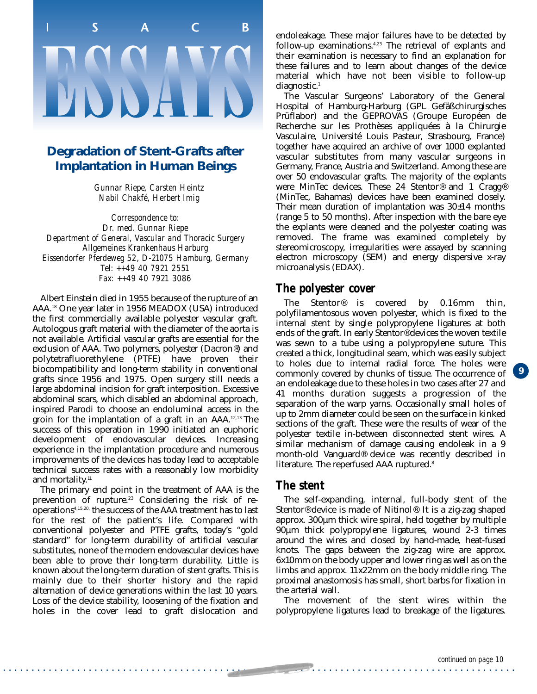## $\overline{\mathsf{S}}$  $\mathsf{C}$ П <sub>R</sub>

#### **Degradation of Stent-Grafts after Implantation in Human Beings**

*Gunnar Riepe, Carsten Heintz Nabil Chakfé, Herbert Imig*

*Correspondence to: Dr. med. Gunnar Riepe Department of General, Vascular and Thoracic Surgery Allgemeines Krankenhaus Harburg Eissendorfer Pferdeweg 52, D-21075 Hamburg, Germany Tel: ++49 40 7921 2551 Fax: ++49 40 7921 3086*

Albert Einstein died in 1955 because of the rupture of an AAA.18 One year later in 1956 MEADOX (USA) introduced the first commercially available polyester vascular graft. Autologous graft material with the diameter of the aorta is not available. Artificial vascular grafts are essential for the exclusion of AAA. Two polymers, polyester (Dacron®) and polytetrafluorethylene (PTFE) have proven their biocompatibility and long-term stability in conventional grafts since 1956 and 1975. Open surgery still needs a large abdominal incision for graft interposition. Excessive abdominal scars, which disabled an abdominal approach, inspired Parodi to choose an endoluminal access in the groin for the implantation of a graft in an AAA.12,13 The success of this operation in 1990 initiated an euphoric development of endovascular devices. Increasing experience in the implantation procedure and numerous improvements of the devices has today lead to acceptable technical success rates with a reasonably low morbidity and mortality.<sup>11</sup>

The primary end point in the treatment of AAA is the prevention of rupture.<sup>23</sup> Considering the risk of reoperations4,15,20, the success of the AAA treatment has to last for the rest of the patient's life. Compared with conventional polyester and PTFE grafts, today's "gold standard" for long-term durability of artificial vascular substitutes, none of the modern endovascular devices have been able to prove their long-term durability. Little is known about the long-term duration of stent grafts. This is mainly due to their shorter history and the rapid alternation of device generations within the last 10 years. Loss of the device stability, loosening of the fixation and holes in the cover lead to graft dislocation and endoleakage. These major failures have to be detected by follow-up examinations.<sup>4,23</sup> The retrieval of explants and their examination is necessary to find an explanation for these failures and to learn about changes of the device material which have not been visible to follow-up diagnostic.<sup>1</sup>

The Vascular Surgeons' Laboratory of the General Hospital of Hamburg-Harburg (GPL Gefäßchirurgisches Prüflabor) and the GEPROVAS (Groupe Européen de Recherche sur les Prothèses appliquées à la Chirurgie Vasculaire, Université Louis Pasteur, Strasbourg, France) together have acquired an archive of over 1000 explanted vascular substitutes from many vascular surgeons in Germany, France, Austria and Switzerland. Among these are over 50 endovascular grafts. The majority of the explants were MinTec devices. These 24 Stentor® and 1 Cragg® (MinTec, Bahamas) devices have been examined closely. Their mean duration of implantation was 30±14 months (range 5 to 50 months). After inspection with the bare eye the explants were cleaned and the polyester coating was removed. The frame was examined completely by stereomicroscopy, irregularities were assayed by scanning electron microscopy (SEM) and energy dispersive x-ray microanalysis (EDAX).

#### *The polyester cover*

The Stentor® is covered by 0.16mm thin, polyfilamentosous woven polyester, which is fixed to the internal stent by single polypropylene ligatures at both ends of the graft. In early Stentor® devices the woven textile was sewn to a tube using a polypropylene suture. This created a thick, longitudinal seam, which was easily subject to holes due to internal radial force. The holes were commonly covered by chunks of tissue. The occurrence of an endoleakage due to these holes in two cases after 27 and 41 months duration suggests a progression of the separation of the warp yarns. Occasionally small holes of up to 2mm diameter could be seen on the surface in kinked sections of the graft. These were the results of wear of the polyester textile in-between disconnected stent wires. A similar mechanism of damage causing endoleak in a 9 month-old Vanguard® device was recently described in literature. The reperfused AAA ruptured.<sup>8</sup>

#### *The stent*

. . . . . . . . . . . . . . . . . . . . . . . . . . . . . . . . . . . . . . . . . . . . . . . . . . . . . . . . . . . . . . . . . . . . . . . . . . . . . . . . . . . . . . . . . .

The self-expanding, internal, full-body stent of the Stentor® device is made of Nitinol®. It is a zig-zag shaped approx. 300µm thick wire spiral, held together by multiple 90µm thick polypropylene ligatures, wound 2-3 times around the wires and closed by hand-made, heat-fused knots. The gaps between the zig-zag wire are approx. 6x10mm on the body upper and lower ring as well as on the limbs and approx. 11x22mm on the body middle ring. The proximal anastomosis has small, short barbs for fixation in the arterial wall.

The movement of the stent wires within the polypropylene ligatures lead to breakage of the ligatures.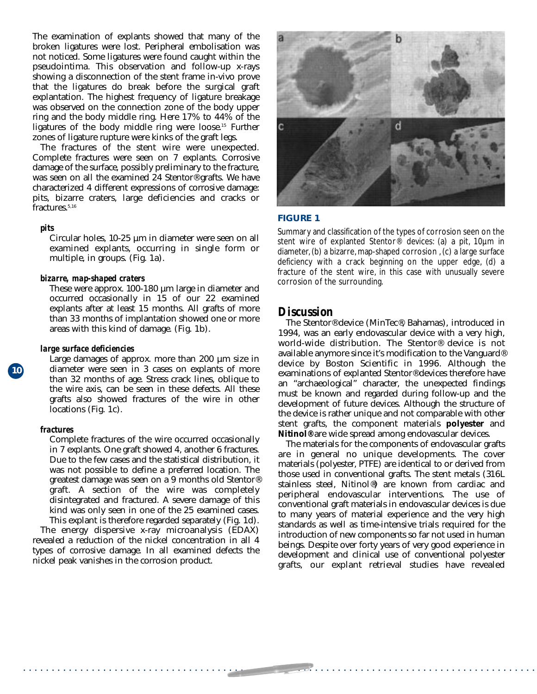The examination of explants showed that many of the broken ligatures were lost. Peripheral embolisation was not noticed. Some ligatures were found caught within the pseudointima. This observation and follow-up x-rays showing a disconnection of the stent frame in-vivo prove that the ligatures do break before the surgical graft explantation. The highest frequency of ligature breakage was observed on the connection zone of the body upper ring and the body middle ring. Here 17% to 44% of the ligatures of the body middle ring were loose.<sup>15</sup> Further zones of ligature rupture were kinks of the graft legs.

The fractures of the stent wire were unexpected. Complete fractures were seen on 7 explants. Corrosive damage of the surface, possibly preliminary to the fracture, was seen on all the examined 24 Stentor® grafts. We have characterized 4 different expressions of corrosive damage: pits, bizarre craters, large deficiencies and cracks or fractures.<sup>5,16</sup>

#### *pits*

Circular holes, 10-25 µm in diameter were seen on all examined explants, occurring in single form or multiple, in groups. (Fig. 1a).

#### *bizarre, map-shaped craters*

These were approx. 100-180 µm large in diameter and occurred occasionally in 15 of our 22 examined explants after at least 15 months. All grafts of more than 33 months of implantation showed one or more areas with this kind of damage. (Fig. 1b).

#### *large surface deficiencies*

Large damages of approx. more than 200  $\mu$ m size in diameter were seen in 3 cases on explants of more than 32 months of age. Stress crack lines, oblique to the wire axis, can be seen in these defects. All these grafts also showed fractures of the wire in other locations (Fig. 1c).

#### *fractures*

**10**

Complete fractures of the wire occurred occasionally in 7 explants. One graft showed 4, another 6 fractures. Due to the few cases and the statistical distribution, it was not possible to define a preferred location. The greatest damage was seen on a 9 months old Stentor® graft. A section of the wire was completely disintegrated and fractured. A severe damage of this kind was only seen in one of the 25 examined cases. This explant is therefore regarded separately (Fig. 1d).

The energy dispersive x-ray microanalysis (EDAX) revealed a reduction of the nickel concentration in all 4 types of corrosive damage. In all examined defects the nickel peak vanishes in the corrosion product.



#### **FIGURE 1**

Summary and classification of the types of corrosion seen on the stent wire of explanted Stentor<sup>®</sup> devices: (a) a pit, 10µm in diameter, (b) a bizarre, map-shaped corrosion , (c) a large surface deficiency with a crack beginning on the upper edge, (d) a fracture of the stent wire, in this case with unusually severe corrosion of the surrounding.

#### *Discussion*

. . . . . . . . . . . . . . . . . . . . . . . . . . . . . . . . . . . . . . . . . . . . . . . . . . . . . . . . . . . . . . . . . . . . . . . . . . . . . . . . . . . . . . . . . .

The Stentor® device (MinTec®, Bahamas), introduced in 1994, was an early endovascular device with a very high, world-wide distribution. The Stentor® device is not available anymore since it's modification to the Vanguard® device by Boston Scientific in 1996. Although the examinations of explanted Stentor® devices therefore have an "archaeological" character, the unexpected findings must be known and regarded during follow-up and the development of future devices. Although the structure of the device is rather unique and not comparable with other stent grafts, the component materials **polyester** and **Nitinol®** are wide spread among endovascular devices.

The materials for the components of endovascular grafts are in general no unique developments. The cover materials (polyester, PTFE) are identical to or derived from those used in conventional grafts. The stent metals (316L stainless steel, Nitinol®) are known from cardiac and peripheral endovascular interventions. The use of conventional graft materials in endovascular devices is due to many years of material experience and the very high standards as well as time-intensive trials required for the introduction of new components so far not used in human beings. Despite over forty years of very good experience in development and clinical use of conventional polyester grafts, our explant retrieval studies have revealed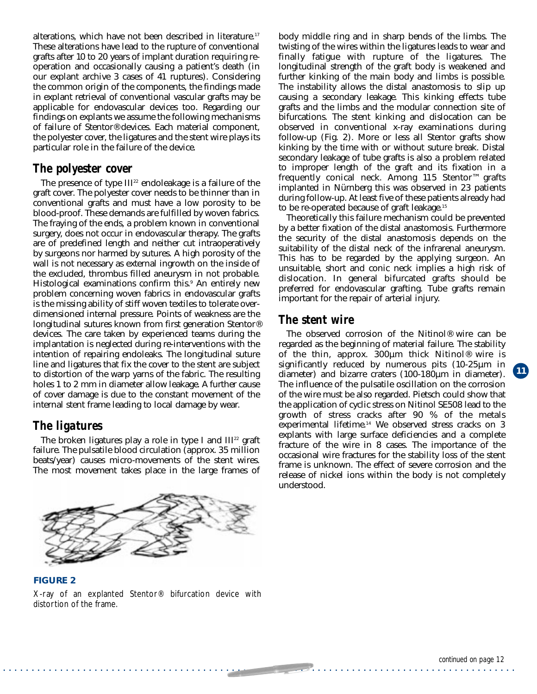alterations, which have not been described in literature.<sup>17</sup> These alterations have lead to the rupture of conventional grafts after 10 to 20 years of implant duration requiring reoperation and occasionally causing a patient's death (in our explant archive 3 cases of 41 ruptures). Considering the common origin of the components, the findings made in explant retrieval of conventional vascular grafts may be applicable for endovascular devices too. Regarding our findings on explants we assume the following mechanisms of failure of Stentor® devices. Each material component, the polyester cover, the ligatures and the stent wire plays its particular role in the failure of the device.

#### *The polyester cover*

The presence of type  $III^{22}$  endoleakage is a failure of the graft cover. The polyester cover needs to be thinner than in conventional grafts and must have a low porosity to be blood-proof. These demands are fulfilled by woven fabrics. The fraying of the ends, a problem known in conventional surgery, does not occur in endovascular therapy. The grafts are of predefined length and neither cut intraoperatively by surgeons nor harmed by sutures. A high porosity of the wall is not necessary as external ingrowth on the inside of the excluded, thrombus filled aneurysm in not probable. Histological examinations confirm this.<sup>9</sup> An entirely new problem concerning woven fabrics in endovascular grafts is the missing ability of stiff woven textiles to tolerate overdimensioned internal pressure. Points of weakness are the longitudinal sutures known from first generation Stentor® devices. The care taken by experienced teams during the implantation is neglected during re-interventions with the intention of repairing endoleaks. The longitudinal suture line and ligatures that fix the cover to the stent are subject to distortion of the warp yarns of the fabric. The resulting holes 1 to 2 mm in diameter allow leakage. A further cause of cover damage is due to the constant movement of the internal stent frame leading to local damage by wear.

#### *The ligatures*

distortion of the frame.

The broken ligatures play a role in type I and  $III<sup>22</sup>$  graft failure. The pulsatile blood circulation (approx. 35 million beats/year) causes micro-movements of the stent wires. The most movement takes place in the large frames of



body middle ring and in sharp bends of the limbs. The twisting of the wires within the ligatures leads to wear and finally fatigue with rupture of the ligatures. The longitudinal strength of the graft body is weakened and further kinking of the main body and limbs is possible. The instability allows the distal anastomosis to slip up causing a secondary leakage. This kinking effects tube grafts and the limbs and the modular connection site of bifurcations. The stent kinking and dislocation can be observed in conventional x-ray examinations during follow-up (Fig. 2). More or less all Stentor grafts show kinking by the time with or without suture break. Distal secondary leakage of tube grafts is also a problem related to improper length of the graft and its fixation in a frequently conical neck. Among 115 Stentor™ grafts implanted in Nürnberg this was observed in 23 patients during follow-up. At least five of these patients already had to be re-operated because of graft leakage.15

Theoretically this failure mechanism could be prevented by a better fixation of the distal anastomosis. Furthermore the security of the distal anastomosis depends on the suitability of the distal neck of the infrarenal aneurysm. This has to be regarded by the applying surgeon. An unsuitable, short and conic neck implies a high risk of dislocation. In general bifurcated grafts should be preferred for endovascular grafting. Tube grafts remain important for the repair of arterial injury.

#### *The stent wire*

The observed corrosion of the Nitinol® wire can be regarded as the beginning of material failure. The stability of the thin, approx.  $300 \mu m$  thick Nitinol<sup>®</sup> wire is significantly reduced by numerous pits (10-25µm in diameter) and bizarre craters (100-180µm in diameter). The influence of the pulsatile oscillation on the corrosion of the wire must be also regarded. Pietsch could show that the application of cyclic stress on Nitinol SE508 lead to the growth of stress cracks after 90 % of the metals experimental lifetime.<sup>14</sup> We observed stress cracks on 3 explants with large surface deficiencies and a complete fracture of the wire in 8 cases. The importance of the occasional wire fractures for the stability loss of the stent frame is unknown. The effect of severe corrosion and the release of nickel ions within the body is not completely understood.

. . . . . . . . . . . . . . . . . . . . . . . . . . . . . . . . . . . . . . . . . . . . . . . . . . . . . . . . . . . . . . . . . . . . . . . . . . . . . . . . . . . . . . . . . .

**11**

**FIGURE 2** X-ray of an explanted Stentor® bifurcation device with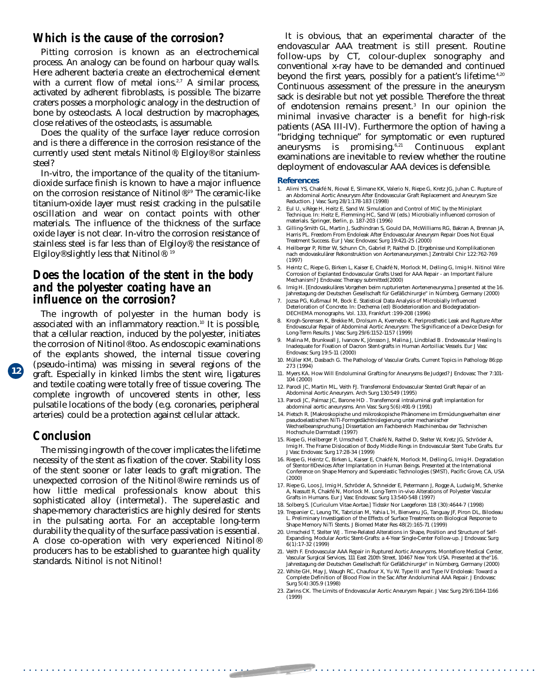#### *Which is the cause of the corrosion?*

Pitting corrosion is known as an electrochemical process. An analogy can be found on harbour quay walls. Here adherent bacteria create an electrochemical element with a current flow of metal ions.<sup>2,7</sup> A similar process, activated by adherent fibroblasts, is possible. The bizarre craters posses a morphologic analogy in the destruction of bone by osteoclasts. A local destruction by macrophages, close relatives of the osteoclasts, is assumable.

Does the quality of the surface layer reduce corrosion and is there a difference in the corrosion resistance of the currently used stent metals Nitinol®, Elgiloy® or stainless steel?

In-vitro, the importance of the quality of the titaniumdioxide surface finish is known to have a major influence on the corrosion resistance of Nitinol®.19 The ceramic-like titanium-oxide layer must resist cracking in the pulsatile oscillation and wear on contact points with other materials. The influence of the thickness of the surface oxide layer is not clear. In-vitro the corrosion resistance of stainless steel is far less than of Elgiloy®, the resistance of Elgiloy® slightly less that Nitinol®. 19

#### *Does the location of the stent in the body and the polyester coating have an influence on the corrosion?*

The ingrowth of polyester in the human body is associated with an inflammatory reaction.<sup>10</sup> It is possible, that a cellular reaction, induced by the polyester, initiates the corrosion of Nitinol® too. As endoscopic examinations of the explants showed, the internal tissue covering (pseudo-intima) was missing in several regions of the graft. Especially in kinked limbs the stent wire, ligatures and textile coating were totally free of tissue covering. The complete ingrowth of uncovered stents in other, less pulsatile locations of the body (e.g. coronaries, peripheral arteries) could be a protection against cellular attack.

#### *Conclusion*

**12**

The missing ingrowth of the cover implicates the lifetime necessity of the stent as fixation of the cover. Stability loss of the stent sooner or later leads to graft migration. The unexpected corrosion of the Nitinol® wire reminds us of how little medical professionals know about this sophisticated alloy (intermetal). The superelastic and shape-memory characteristics are highly desired for stents in the pulsating aorta. For an acceptable long-term durability the quality of the surface passivation is essential. A close co-operation with very experienced Nitinol® producers has to be established to guarantee high quality standards. Nitinol is not Nitinol!

It is obvious, that an experimental character of the endovascular AAA treatment is still present. Routine follow-ups by CT, colour-duplex sonography and conventional x-ray have to be demanded and continued beyond the first years, possibly for a patient's lifetime.<sup>4,20</sup> Continuous assessment of the pressure in the aneurysm sack is desirable but not yet possible. Therefore the threat of endotension remains present.3 In our opinion the minimal invasive character is a benefit for high-risk patients (ASA III-IV). Furthermore the option of having a "bridging technique" for symptomatic or even ruptured<br>aneurysms is promising.<sup>6,21</sup> Continuous explant aneurysms is promising. $6,21$  Continuous explant examinations are inevitable to review whether the routine deployment of endovascular AAA devices is defensible.

#### **References**

- 1. Alimi YS, Chakfé N, Rioval E, Slimane KK, Valerio N, Riepe G, Kretz JG, Juhan C. Rupture of an Abdominal Aortic Aneurysm After Endovascular Graft Replacement and Aneurysm Size Reduction. J Vasc Surg 28/1:178-183 (1998)
- 2. Eul U, v.Rège H, Heitz E, Sand W. Simulation and Control of MIC by the Miniplant Technique. In: Heitz E, Flemming HC, Sand W (eds.) Microbially influenced corrosion of materials. Springer, Berlin, p. 187-203 (1996)
- 3. Gilling-Smith GL, Martin J, Sudhindran S, Gould DA, McWilliams RG, Bakran A, Brennan JA, Harris PL. Freedom From Endoleak After Endovascular Aneurysm Repair Does Not Equal Treatment Success. Eur J Vasc Endovasc Surg 19:421-25 (2000)
- 4. Heilberger P, Ritter W, Schunn Ch, Gabriel P, Raithel D. [Ergebnisse und Komplikationen nach endovaskulärer Rekonstruktion von Aortenaneurysmen.] Zentralbl Chir 122:762-769 (1997)
- 5. Heintz C, Riepe G, Birken L, Kaiser E, Chakfé N, Morlock M, Delling G, Imig H. Nitinol Wire Corrosion of Explanted Endovascular Grafts Used for AAA Repair - an Important Failure Mechanism? J Endovasc Therapy submitted(2000)
- 6. Imig H. [Endovaskuläres Vorgehen beim rupturierten Aorteneneurysma.] presented at the 16. Jahrestagung der Deutschen Gesellschaft für Gefäßchirurgie" in Nürnberg, Germany (2000)
- 7. Jozsa PG, Kußmaul M, Bock E. Statistical Data Analysis of Microbially Influenced Deterioration of Concrete. In: Dechema (ed) Biodeterioration and Biodegradation-DECHEMA monographs. Vol. 133, Frankfurt :199-208 (1996)
- 8. Krogh-Sorensen K, Brekke M, Drolsum A, Kvernebo K. Periprosthetic Leak and Rupture After Endovascular Repair of Abdominal Aortic Aneurysm: The Significance of a Device Design for Long-Term Results. J Vasc Surg 29/6:1152-1157 (1999)
- 9. Malina M, Brunkwall J, Ivancev K, Jönsson J, Malina J, Lindblad B . Endovascular Healing Is Inadequate for Fixation of Dacron Stent-grafts in Human Aortoiliac Vessels. Eur J Vasc Endovasc Surg 19:5-11 (2000)
- 10. Müller KM, Dasbach G. The Pathology of Vascular Grafts. Current Topics in Pathology 86:pp 273 (1994)
- 11. Myers KA. How Will Endoluminal Grafting for Aneurysms Be Judged? J Endovasc Ther 7:101- 104 (2000)
- 12. Parodi JC, Martin ML, Veith FJ. Transfemoral Endovascular Stented Graft Repair of an Abdominal Aortic Aneurysm. Arch Surg 130:549 (1995)
- 13. Parodi JC, Palmaz JC, Barone HD . Transfemoral intraluminal graft implantation for abdominal aortic aneurysms. Ann Vasc Surg 5(6):491-9 (1991)
- 14. Pietsch R. [Makroskopische und mikroskopische Phänomene im Ermüdungsverhalten einer pseudoelastischen NiTi-Formgedächtnislegierung unter mechanischer Wechselbeanspruchung.] Dissertation am Fachbereich Maschinenbau der Technischen Hochschule Darmstadt (1997)
- 15. Riepe G, Heilberger P, Umscheid T, Chakfé N, Raithel D, Stelter W, Kretz JG, Schröder A, Imig H. The Frame Dislocation of Body Middle Rings in Endovascular Stent Tube Grafts. Eur J Vasc Endovasc Surg 17:28-34 (1999)
- 16. Riepe G, Heintz C, Birken L, Kaiser E, Chakfé N, Morlock M, Delling G, Imig H. Degradation of Stentor® Devices After Implantation in Human Beings. Presented at the International Conference on Shape Memory and Superelastic Technologies (SMST), Pacific Grove, CA, USA (2000)
- 17. Riepe G, Loos J, Imig H, Schröder A, Schneider E, Petermann J, Rogge A, Ludwig M, Schenke A, Nassutt R, Chakfé N, Morlock M. Long-Term in-vivo Alterations of Polyester Vascular Grafts in Humans. Eur J Vasc Endovasc Surg 13:540-548 (1997)
- 18. Solberg S. [Curiculum Vitae Aortae.] Tidsskr Nor Laegeforen 118 (30):4644-7 (1998)
- 19. Trepanier C, Leung TK, Tabrizian M, Yahia L´H, Bienvenu JG, Tanguay JF, Piron DL, Bilodeau L. Preliminary Investigation of the Effects of Surface Treatments on Biological Response to Shape Memory NiTi Stents. J Biomed Mater Res 48(2):165-71 (1999)
- 20. Umscheid T, Stelter WJ . Time-Related Alterations in Shape, Position and Structure of Self-Expanding, Modular Aortic Stent-Grafts: a 4-Year Single-Center Follow-up. J Endovasc Surg 6(1):17-32 (1999)
- 21. Veith F. Endovascular AAA Repair in Ruptured Aortic Aneurysms. Montefiore Medical Center, Vascular Surgical Services, 111 East 210th Street, 10467 New York USA. Presented at the"16. Jahrestagung der Deutschen Gesellschaft für Gefäßchirurgie" in Nürnberg, Germany (2000)
- 22. White GH, May J, Waugh RC, Chaufour X, Yu W. Type III and Type IV Endoleak: Toward a Complete Definition of Blood Flow in the Sac After Andoluminal AAA Repair. J Endovasc Surg 5(4):305.9 (1998)
- 23. Zarins CK. The Limits of Endovascular Aortic Aneurysm Repair. J Vasc Surg 29/6:1164-1166 (1999)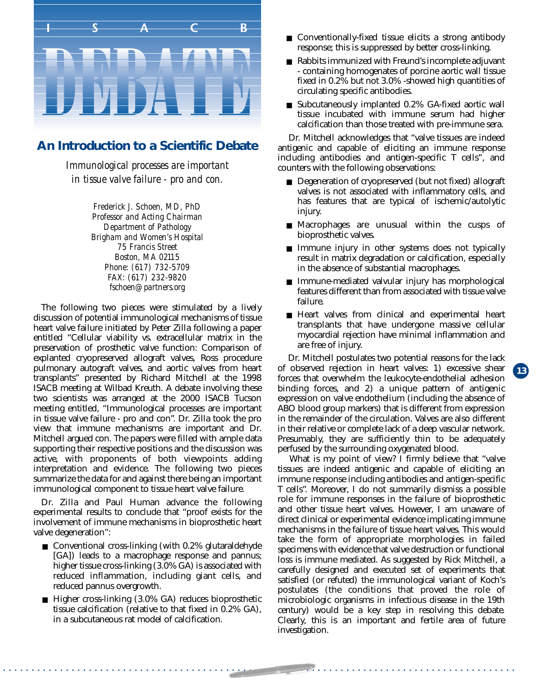

#### **An Introduction to a Scientific Debate**

*Immunological processes are important in tissue valve failure - pro and con.*

> *Frederick J. Schoen, MD, PhD Professor and Acting Chairman Department of Pathology Brigham and Women's Hospital 75 Francis Street Boston, MA 02115 Phone: (617) 732-5709 FAX: (617) 232-9820 fschoen@partners.org*

The following two pieces were stimulated by a lively discussion of potential immunological mechanisms of tissue heart valve failure initiated by Peter Zilla following a paper entitled "Cellular viability vs. extracellular matrix in the preservation of prosthetic valve function: Comparison of explanted cryopreserved allograft valves, Ross procedure pulmonary autograft valves, and aortic valves from heart transplants" presented by Richard Mitchell at the 1998 ISACB meeting at Wilbad Kreuth. A debate involving these two scientists was arranged at the 2000 ISACB Tucson meeting entitled, "Immunological processes are important in tissue valve failure - pro and con". Dr. Zilla took the pro view that immune mechanisms are important and Dr. Mitchell argued con. The papers were filled with ample data supporting their respective positions and the discussion was active, with proponents of both viewpoints adding interpretation and evidence. The following two pieces summarize the data for and against there being an important immunological component to tissue heart valve failure.

Dr. Zilla and Paul Human advance the following experimental results to conclude that "proof exists for the involvement of immune mechanisms in bioprosthetic heart valve degeneration":

- Conventional cross-linking (with 0.2% glutaraldehyde [GA]) leads to a macrophage response and pannus; higher tissue cross-linking (3.0% GA) is associated with reduced inflammation, including giant cells, and reduced pannus overgrowth.
- Higher cross-linking (3.0% GA) reduces bioprosthetic tissue calcification (relative to that fixed in  $0.2\%$  GA), in a subcutaneous rat model of calcification.
- Conventionally-fixed tissue elicits a strong antibody response; this is suppressed by better cross-linking.
- Rabbits immunized with Freund's incomplete adjuvant - containing homogenates of porcine aortic wall tissue fixed in 0.2% but not 3.0% -showed high quantities of circulating specific antibodies.
- Subcutaneously implanted 0.2% GA-fixed aortic wall tissue incubated with immune serum had higher calcification than those treated with pre-immune sera.

Dr. Mitchell acknowledges that "valve tissues are indeed antigenic and capable of eliciting an immune response including antibodies and antigen-specific T cells", and counters with the following observations:

- Degeneration of cryopreserved (but not fixed) allograft valves is not associated with inflammatory cells, and has features that are typical of ischemic/autolytic injury.
- Macrophages are unusual within the cusps of bioprosthetic valves.
- Immune injury in other systems does not typically result in matrix degradation or calcification, especially in the absence of substantial macrophages.
- Immune-mediated valvular injury has morphological features different than from associated with tissue valve failure.
- Heart valves from clinical and experimental heart transplants that have undergone massive cellular myocardial rejection have minimal inflammation and are free of injury.

**13**

Dr. Mitchell postulates two potential reasons for the lack of observed rejection in heart valves: 1) excessive shear forces that overwhelm the leukocyte-endothelial adhesion binding forces, and 2) a unique pattern of antigenic expression on valve endothelium (including the absence of ABO blood group markers) that is different from expression in the remainder of the circulation. Valves are also different in their relative or complete lack of a deep vascular network. Presumably, they are sufficiently thin to be adequately perfused by the surrounding oxygenated blood.

What is my point of view? I firmly believe that "valve" tissues are indeed antigenic and capable of eliciting an immune response including antibodies and antigen-specific T cells". Moreover, I do not summarily dismiss a possible role for immune responses in the failure of bioprosthetic and other tissue heart valves. However, I am unaware of direct clinical or experimental evidence implicating immune mechanisms in the failure of tissue heart valves. This would take the form of appropriate morphologies in failed specimens with evidence that valve destruction or functional loss is immune mediated. As suggested by Rick Mitchell, a carefully designed and executed set of experiments that satisfied (or refuted) the immunological variant of Koch's postulates (the conditions that proved the role of microbiologic organisms in infectious disease in the 19th century) would be a key step in resolving this debate. Clearly, this is an important and fertile area of future investigation.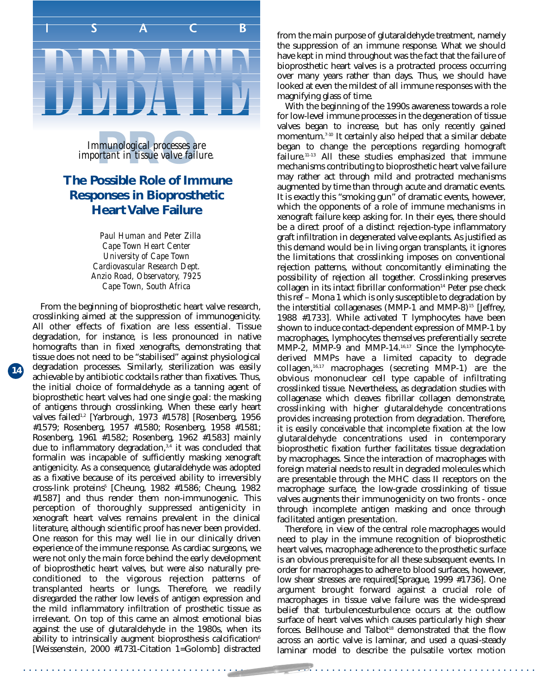

*important in tissue valve failure. Immunological processes are*<br>*portant in tissue valve failur* 

#### **The Possible Role of Immune Responses in Bioprosthetic Heart Valve Failure**

*Paul Human and Peter Zilla Cape Town Heart Center University of Cape Town Cardiovascular Research Dept. Anzio Road, Observatory, 7925 Cape Town, South Africa*

**14**

From the beginning of bioprosthetic heart valve research, crosslinking aimed at the suppression of immunogenicity. All other effects of fixation are less essential. Tissue degradation, for instance, is less pronounced in native homografts than in fixed xenografts, demonstrating that tissue does not need to be "stabilised" against physiological degradation processes. Similarly, sterilization was easily achievable by antibiotic cocktails rather than fixatives. Thus, the initial choice of formaldehyde as a tanning agent of bioprosthetic heart valves had one single goal: the masking of antigens through crosslinking. When these early heart valves failed<sup>1,2</sup> [Yarbrough, 1973 #1578] [Rosenberg, 1956 #1579; Rosenberg, 1957 #1580; Rosenberg, 1958 #1581; Rosenberg, 1961 #1582; Rosenberg, 1962 #1583] mainly due to inflammatory degradation, $3,4$  it was concluded that formalin was incapable of sufficiently masking xenograft antigenicity. As a consequence, glutaraldehyde was adopted as a fixative because of its perceived ability to irreversibly cross-link proteins<sup>5</sup> [Cheung, 1982 #1586; Cheung, 1982 #1587] and thus render them non-immunogenic. This perception of thoroughly suppressed antigenicity in xenograft heart valves remains prevalent in the clinical literature, although scientific proof has never been provided. One reason for this may well lie in our clinically driven experience of the immune response. As cardiac surgeons, we were not only the main force behind the early development of bioprosthetic heart valves, but were also naturally preconditioned to the vigorous rejection patterns of transplanted hearts or lungs. Therefore, we readily disregarded the rather low levels of antigen expression and the mild inflammatory infiltration of prosthetic tissue as irrelevant. On top of this came an almost emotional bias against the use of glutaraldehyde in the 1980s, when its ability to intrinsically augment bioprosthesis calcification<sup>6</sup> [Weissenstein, 2000 #1731-Citation 1=Golomb] distracted from the main purpose of glutaraldehyde treatment, namely the suppression of an immune response. What we should have kept in mind throughout was the fact that the failure of bioprosthetic heart valves is a protracted process occurring over many years rather than days. Thus, we should have looked at even the mildest of all immune responses with the magnifying glass of time.

With the beginning of the 1990s awareness towards a role for low-level immune processes in the degeneration of tissue valves began to increase, but has only recently gained momentum.<sup>7-10</sup> It certainly also helped that a similar debate began to change the perceptions regarding homograft failure.<sup>11-13</sup> All these studies emphasized that immune mechanisms contributing to bioprosthetic heart valve failure may rather act through mild and protracted mechanisms augmented by time than through acute and dramatic events. It is exactly this "smoking gun" of dramatic events, however, which the opponents of a role of immune mechanisms in xenograft failure keep asking for. In their eyes, there should be a direct proof of a distinct rejection-type inflammatory graft infiltration in degenerated valve explants. As justified as this demand would be in living organ transplants, it ignores the limitations that crosslinking imposes on conventional rejection patterns, without concomitantly eliminating the possibility of rejection all together. Crosslinking preserves  $collagen$  in its intact fibrillar conformation<sup>14</sup> Peter pse check this ref – Mona 1 which is only susceptible to degradation by the interstitial collagenases (MMP-1 and MMP-8) $15$  [Jeffrey, 1988 #1733]. While activated T lymphocytes have been shown to induce contact-dependent expression of MMP-1 by macrophages, lymphocytes themselves preferentially secrete MMP-2, MMP-9 and MMP-14.16,17 Since the lymphocytederived MMPs have a limited capacity to degrade collagen,16,17 macrophages (secreting MMP-1) are the obvious mononuclear cell type capable of infiltrating crosslinked tissue. Nevertheless, as degradation studies with collagenase which cleaves fibrillar collagen demonstrate, crosslinking with higher glutaraldehyde concentrations provides increasing protection from degradation. Therefore, it is easily conceivable that incomplete fixation at the low glutaraldehyde concentrations used in contemporary bioprosthetic fixation further facilitates tissue degradation by macrophages. Since the interaction of macrophages with foreign material needs to result in degraded molecules which are presentable through the MHC class II receptors on the macrophage surface, the low-grade crosslinking of tissue valves augments their immunogenicity on two fronts - once through incomplete antigen masking and once through facilitated antigen presentation.

Therefore, in view of the central role macrophages would need to play in the immune recognition of bioprosthetic heart valves, macrophage adherence to the prosthetic surface is an obvious prerequisite for all these subsequent events. In order for macrophages to adhere to blood surfaces, however, low shear stresses are required[Sprague, 1999 #1736]. One argument brought forward against a crucial role of macrophages in tissue valve failure was the wide-spread belief that turbulencesturbulence occurs at the outflow surface of heart valves which causes particularly high shear forces. Bellhouse and Talbot<sup>18</sup> demonstrated that the flow across an aortic valve is laminar, and used a quasi-steady laminar model to describe the pulsatile vortex motion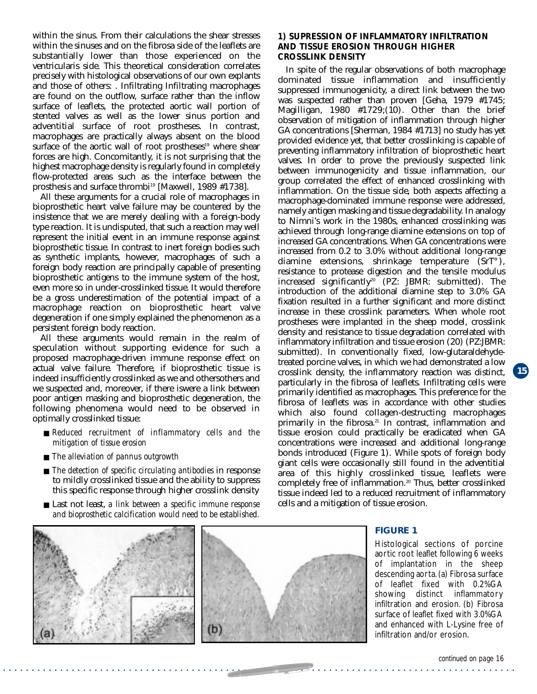within the sinus. From their calculations the shear stresses within the sinuses and on the fibrosa side of the leaflets are substantially lower than those experienced on the ventricularis side. This theoretical consideration correlates precisely with histological observations of our own explants and those of others: . Infiltrating Infiltrating macrophages are found on the outflow, surface rather than the inflow surface of leaflets, the protected aortic wall portion of stented valves as well as the lower sinus portion and adventitial surface of root prostheses. In contrast, macrophages are practically always absent on the blood surface of the aortic wall of root prostheses<sup>19</sup> where shear forces are high. Concomitantly, it is not surprising that the highest macrophage density is regularly found in completely flow-protected areas such as the interface between the prosthesis and surface thrombi<sup>19</sup> [Maxwell, 1989 #1738].

All these arguments for a crucial role of macrophages in bioprosthetic heart valve failure may be countered by the insistence that we are merely dealing with a foreign-body type reaction. It is undisputed, that such a reaction may well represent the initial event in an immune response against bioprosthetic tissue. In contrast to inert foreign bodies such as synthetic implants, however, macrophages of such a foreign body reaction are principally capable of presenting bioprosthetic antigens to the immune system of the host, even more so in under-crosslinked tissue. It would therefore be a gross underestimation of the potential impact of a macrophage reaction on bioprosthetic heart valve degeneration if one simply explained the phenomenon as a persistent foreign body reaction.

actual valve fallure. Inerefore, if bioprostnetic tissue is crosslink density, the inflammatory reaction was distinct, 15 All these arguments would remain in the realm of speculation without supporting evidence for such a proposed macrophage-driven immune response effect on actual valve failure. Therefore, if bioprosthetic tissue is indeed insufficiently crosslinked as we and othersothers and we suspected and, moreover, if there iswere a link between poor antigen masking and bioprosthetic degeneration, the following phenomena would need to be observed in optimally crosslinked tissue:

- *Reduced recruitment of inflammatory cells and the mitigation of tissue erosion*
- *The alleviation of pannus outgrowth*
- *The detection of specific circulating antibodies* in response to mildly crosslinked tissue and the ability to suppress this specific response through higher crosslink density
- Last not least, *a link between a specific immune response and bioprosthetic calcification would need to be established.*

#### **1) SUPRESSION OF INFLAMMATORY INFILTRATION AND TISSUE EROSION THROUGH HIGHER CROSSLINK DENSITY**

In spite of the regular observations of both macrophage dominated tissue inflammation and insufficiently suppressed immunogenicity, a direct link between the two was suspected rather than proven [Geha, 1979 #1745; Magilligan,  $1980$  #1729;(10). Other than the brief observation of mitigation of inflammation through higher GA concentrations [Sherman, 1984 #1713] no study has yet provided evidence yet, that better crosslinking is capable of preventing inflammatory infiltration of bioprosthetic heart valves. In order to prove the previously suspected link between immunogenicity and tissue inflammation, our group correlated the effect of enhanced crosslinking with inflammation. On the tissue side, both aspects affecting a macrophage-dominated immune response were addressed, namely antigen masking and tissue degradability. In analogy to Nimni's work in the 1980s, enhanced crosslinking was achieved through long-range diamine extensions on top of increased GA concentrations. When GA concentrations were increased from 0.2 to 3.0% without additional long-range diamine extensions, shrinkage temperature (SrT°), resistance to protease digestion and the tensile modulus increased significantly<sup>20</sup> (PZ: JBMR: submitted). The introduction of the additional diamine step to 3.0% GA fixation resulted in a further significant and more distinct increase in these crosslink parameters. When whole root prostheses were implanted in the sheep model, crosslink density and resistance to tissue degradation correlated with inflammatory infiltration and tissue erosion (20) (PZ:JBMR: submitted). In conventionally fixed, low-glutaraldehydetreated porcine valves, in which we had demonstrated a low particularly in the fibrosa of leaflets. Infiltrating cells were primarily identified as macrophages. This preference for the fibrosa of leaflets was in accordance with other studies which also found collagen-destructing macrophages primarily in the fibrosa.<sup>21</sup> In contrast, inflammation and tissue erosion could practically be eradicated when GA concentrations were increased and additional long-range bonds introduced (Figure 1). While spots of foreign body giant cells were occasionally still found in the adventitial area of this highly crosslinked tissue, leaflets were completely free of inflammation.20 Thus, better crosslinked tissue indeed led to a reduced recruitment of inflammatory cells and a mitigation of tissue erosion.



. . . . . . . . . . . . . . . . . . . . . . . . . . . . . . . . . . . . . . . . . . . . . . . . . . . . . . . . . . . . . . . . . . . . . . . . . . . . . . . . . . . . . . . . . .

#### **FIGURE 1**

Histological sections of porcine aortic root leaflet following 6 weeks of implantation in the sheep descending aorta. (a) Fibrosa surface of leaflet fixed with 0.2%GA showing distinct inflammatory infiltration and erosion. (b) Fibrosa surface of leaflet fixed with 3.0%GA and enhanced with L-Lysine free of infiltration and/or erosion.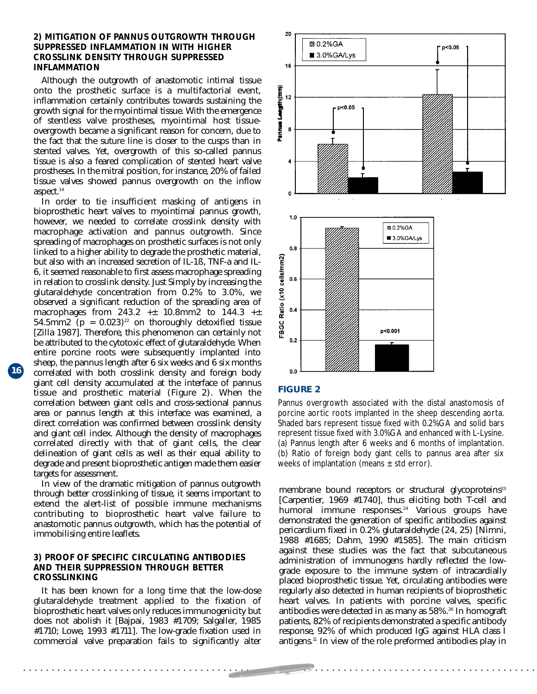#### **2) MITIGATION OF PANNUS OUTGROWTH THROUGH SUPPRESSED INFLAMMATION IN WITH HIGHER CROSSLINK DENSITY THROUGH SUPPRESSED INFLAMMATION**

Although the outgrowth of anastomotic intimal tissue onto the prosthetic surface is a multifactorial event, inflammation certainly contributes towards sustaining the growth signal for the myointimal tissue. With the emergence of stentless valve prostheses, myointimal host tissueovergrowth became a significant reason for concern, due to the fact that the suture line is closer to the cusps than in stented valves. Yet, overgrowth of this so-called pannus tissue is also a feared complication of stented heart valve prostheses. In the mitral position, for instance, 20% of failed tissue valves showed pannus overgrowth on the inflow aspect.<sup>14</sup>

In order to tie insufficient masking of antigens in bioprosthetic heart valves to myointimal pannus growth, however, we needed to correlate crosslink density with macrophage activation and pannus outgrowth. Since spreading of macrophages on prosthetic surfaces is not only linked to a higher ability to degrade the prosthetic material, but also with an increased secretion of IL-1ß, TNF-a and IL-6, it seemed reasonable to first assess macrophage spreading in relation to crosslink density. Just Simply by increasing the glutaraldehyde concentration from 0.2% to 3.0%, we observed a significant reduction of the spreading area of macrophages from  $243.2 + 10.8$ mm2 to  $144.3 + \pm$ 54.5mm2 ( $p = 0.023$ )<sup>22</sup> on thoroughly detoxified tissue [Zilla 1987]. Therefore, this phenomenon can certainly not be attributed to the cytotoxic effect of glutaraldehyde. When entire porcine roots were subsequently implanted into sheep, the pannus length after 6 six weeks and 6 six months giant cell density accumulated at the interface of pannus tissue and prosthetic material (Figure 2). When the correlation between giant cells and cross-sectional pannus area or pannus length at this interface was examined, a direct correlation was confirmed between crosslink density and giant cell index. Although the density of macrophages correlated directly with that of giant cells, the clear delineation of giant cells as well as their equal ability to degrade and present bioprosthetic antigen made them easier targets for assessment.

In view of the dramatic mitigation of pannus outgrowth through better crosslinking of tissue, it seems important to extend the alert-list of possible immune mechanisms contributing to bioprosthetic heart valve failure to anastomotic pannus outgrowth, which has the potential of immobilising entire leaflets.

#### **3) PROOF OF SPECIFIC CIRCULATING ANTIBODIES AND THEIR SUPPRESSION THROUGH BETTER CROSSLINKING**

It has been known for a long time that the low-dose glutaraldehyde treatment applied to the fixation of bioprosthetic heart valves only reduces immunogenicity but does not abolish it [Bajpai, 1983 #1709; Salgaller, 1985 #1710; Lowe, 1993 #1711]. The low-grade fixation used in commercial valve preparation fails to significantly alter



#### **FIGURE 2**

. . . . . . . . . . . . . . . . . . . . . . . . . . . . . . . . . . . . . . . . . . . . . . . . . . . . . . . . . . . . . . . . . . . . . . . . . . . . . . . . . . . . . . . . . .

Pannus overgrowth associated with the distal anastomosis of porcine aortic roots implanted in the sheep descending aorta. Shaded bars represent tissue fixed with 0.2%GA and solid bars represent tissue fixed with 3.0%GA and enhanced with L-Lysine. (a) Pannus length after 6 weeks and 6 months of implantation. (b) Ratio of foreign body giant cells to pannus area after six weeks of implantation (means  $\pm$  std error).

membrane bound receptors or structural glycoproteins<sup>23</sup> [Carpentier, 1969 #1740], thus eliciting both T-cell and humoral immune responses.<sup>24</sup> Various groups have demonstrated the generation of specific antibodies against pericardium fixed in 0.2% glutaraldehyde (24, 25) [Nimni, 1988 #1685; Dahm, 1990 #1585]. The main criticism against these studies was the fact that subcutaneous administration of immunogens hardly reflected the lowgrade exposure to the immune system of intracardially placed bioprosthetic tissue. Yet, circulating antibodies were regularly also detected in human recipients of bioprosthetic heart valves. In patients with porcine valves, specific antibodies were detected in as many as 58%.<sup>26</sup> In homograft patients, 82% of recipients demonstrated a specific antibody response, 92% of which produced IgG against HLA class I antigens.11 In view of the role preformed antibodies play in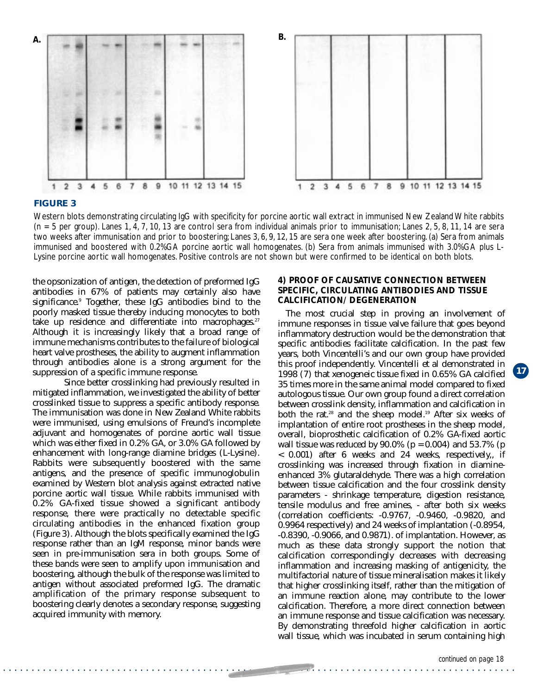



#### **FIGURE 3**

Western blots demonstrating circulating IgG with specificity for porcine aortic wall extract in immunised New Zealand White rabbits  $(n = 5$  per group). Lanes 1, 4, 7, 10, 13 are control sera from individual animals prior to immunisation; Lanes 2, 5, 8, 11, 14 are sera two weeks after immunisation and prior to boostering; Lanes 3, 6, 9, 12, 15 are sera one week after boostering. (a) Sera from animals immunised and boostered with 0.2%GA porcine aortic wall homogenates. (b) Sera from animals immunised with 3.0%GA plus L-Lysine porcine aortic wall homogenates. Positive controls are not shown but were confirmed to be identical on both blots.

. . . . . . . . . . . . . . . . . . . . . . . . . . . . . . . . . . . . . . . . . . . . . . . . . . . . . . . . . . . . . . . . . . . . . . . . . . . . . . . . . . . . . . . . . .

the opsonization of antigen, the detection of preformed IgG antibodies in 67% of patients may certainly also have significance.9 Together, these IgG antibodies bind to the poorly masked tissue thereby inducing monocytes to both take up residence and differentiate into macrophages. $27$ Although it is increasingly likely that a broad range of immune mechanisms contributes to the failure of biological heart valve prostheses, the ability to augment inflammation through antibodies alone is a strong argument for the suppression of a specific immune response.

Since better crosslinking had previously resulted in mitigated inflammation, we investigated the ability of better crosslinked tissue to suppress a specific antibody response. The immunisation was done in New Zealand White rabbits were immunised, using emulsions of Freund's incomplete adjuvant and homogenates of porcine aortic wall tissue which was either fixed in 0.2% GA, or 3.0% GA followed by enhancement with long-range diamine bridges (L-Lysine). Rabbits were subsequently boostered with the same antigens, and the presence of specific immunoglobulin examined by Western blot analysis against extracted native porcine aortic wall tissue. While rabbits immunised with 0.2% GA-fixed tissue showed a significant antibody response, there were practically no detectable specific circulating antibodies in the enhanced fixation group (Figure 3). Although the blots specifically examined the IgG response rather than an IgM response, minor bands were seen in pre-immunisation sera in both groups. Some of these bands were seen to amplify upon immunisation and boostering, although the bulk of the response was limited to antigen without associated preformed IgG. The dramatic amplification of the primary response subsequent to boostering clearly denotes a secondary response, suggesting acquired immunity with memory.

#### **4) PROOF OF CAUSATIVE CONNECTION BETWEEN SPECIFIC, CIRCULATING ANTIBODIES AND TISSUE CALCIFICATION/ DEGENERATION**

The most crucial step in proving an involvement of immune responses in tissue valve failure that goes beyond inflammatory destruction would be the demonstration that specific antibodies facilitate calcification. In the past few years, both Vincentelli's and our own group have provided this proof independently. Vincentelli et al demonstrated in 1998 (7) that xenogeneic tissue fixed in 0.65% GA calcified 35 times more in the same animal model compared to fixed autologous tissue. Our own group found a direct correlation between crosslink density, inflammation and calcification in both the rat.<sup>28</sup> and the sheep model.<sup>19</sup> After six weeks of implantation of entire root prostheses in the sheep model, overall, bioprosthetic calcification of 0.2% GA-fixed aortic wall tissue was reduced by  $90.0\%$  (p = 0.004) and 53.7% (p < 0.001) after 6 weeks and 24 weeks, respectively,, if crosslinking was increased through fixation in diamineenhanced 3% glutaraldehyde. There was a high correlation between tissue calcification and the four crosslink density parameters - shrinkage temperature, digestion resistance, tensile modulus and free amines, - after both six weeks (correlation coefficients: -0.9767, -0.9460, -0.9820, and 0.9964 respectively) and 24 weeks of implantation (-0.8954, -0.8390, -0.9066, and 0.9871). of implantation. However, as much as these data strongly support the notion that calcification correspondingly decreases with decreasing inflammation and increasing masking of antigenicity, the multifactorial nature of tissue mineralisation makes it likely that higher crosslinking itself, rather than the mitigation of an immune reaction alone, may contribute to the lower calcification. Therefore, a more direct connection between an immune response and tissue calcification was necessary. By demonstrating threefold higher calcification in aortic wall tissue, which was incubated in serum containing high

**17**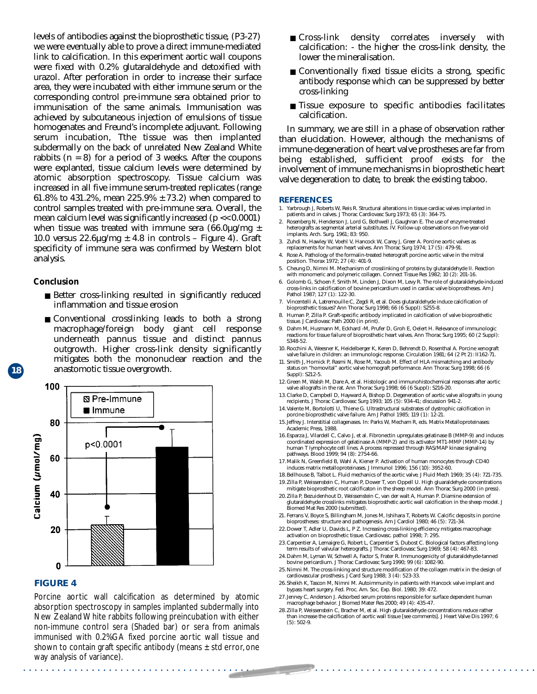levels of antibodies against the bioprosthetic tissue, (P3-27) we were eventually able to prove a direct immune-mediated link to calcification. In this experiment aortic wall coupons were fixed with 0.2% glutaraldehyde and detoxified with urazol. After perforation in order to increase their surface area, they were incubated with either immune serum or the corresponding control pre-immune sera obtained prior to immunisation of the same animals. Immunisation was achieved by subcutaneous injection of emulsions of tissue homogenates and Freund's incomplete adjuvant. Following serum incubation, Tthe tissue was then implanted subdermally on the back of unrelated New Zealand White rabbits  $(n = 8)$  for a period of 3 weeks. After the coupons were explanted, tissue calcium levels were determined by atomic absorption spectroscopy. Tissue calcium was increased in all five immune serum-treated replicates (range 61.8% to 431.2%, mean  $225.9\% \pm 73.2$ ) when compared to control samples treated with pre-immune sera. Overall, the mean calcium level was significantly increased (p << 0.0001) when tissue was treated with immune sera  $(66.0\mu g/mg \pm$ 10.0 versus  $22.6\mu g/mg \pm 4.8$  in controls – Figure 4). Graft specificity of immune sera was confirmed by Western blot analysis.

#### **Conclusion**

- Better cross-linking resulted in significantly reduced inflammation and tissue erosion
- Conventional crosslinking leads to both a strong macrophage/foreign body giant cell response underneath pannus tissue and distinct pannus outgrowth. Higher cross-link density significantly mitigates both the mononuclear reaction and the anastomotic tissue overgrowth.



#### **FIGURE 4**

. . . . . . . . . . . . . . . . . . . . . . . . . . . . . . . . . . . . . . . . . . . . . . . . . . . . . . . . . . . . . . . . . . . . . . . . . . . . . . . . . . . . . . . . . . Porcine aortic wall calcification as determined by atomic absorption spectroscopy in samples implanted subdermally into New Zealand White rabbits following preincubation with either non-immune control sera (Shaded bar) or sera from animals immunised with 0.2%GA fixed porcine aortic wall tissue and shown to contain graft specific antibody (means  $\pm$  std error, one way analysis of variance).

- Cross-link density correlates inversely with calcification: - the higher the cross-link density, the lower the mineralisation.
- Conventionally fixed tissue elicits a strong, specific antibody response which can be suppressed by better cross-linking
- Tissue exposure to specific antibodies facilitates calcification.

In summary, we are still in a phase of observation rather than elucidation. However, although the mechanisms of immune-degeneration of heart valve prostheses are far from being established, sufficient proof exists for the involvement of immune mechanisms in bioprosthetic heart valve degeneration to date, to break the existing taboo.

#### **REFERENCES**

- 1. Yarbrough J, Roberts W, Reis R. Structural alterations in tissue cardiac valves implanted in patients and in calves. J Thorac Cardiovasc Surg 1973; 65 (3): 364-75.
- 2. Rosenberg N, Henderson J, Lord G, Bothwell J, Gaughran E. The use of enzyme-treated heterografts as segmental arterial substitutes. IV. Follow-up observations on five-year-old implants. Arch. Surg. 1961; 83: 950.
- 3. Zuhdi N, Hawley W, Voehl V, Hancock W, Carey J, Greer A. Porcine aortic valves as replacements for human heart valves. Ann Thorac Surg 1974; 17 (5): 479-91.
- 4. Rose A. Pathology of the formalin-treated heterograft porcine aortic valve in the mitral position. Thorax 1972; 27 (4): 401-9.
- 5. Cheung D, Nimni M. Mechanism of crosslinking of proteins by glutaraldehyde II. Reaction with monomeric and polymeric collagen. Connect Tissue Res 1982; 10 (2): 201-16.
- 6. Golomb G, Schoen F, Smith M, Linden J, Dixon M, Levy R. The role of glutaraldehyde-induced cross-links in calcification of bovine pericardium used in cardiac valve bioprostheses. Am J Pathol 1987; 127 (1): 122-30.
- 7. Vincentelli A, Latremouille C, Zegdi R, et al. Does glutaraldehyde induce calcification of bioprosthetic tissues? Ann Thorac Surg 1998; 66 (6 Suppl): S255-8.
- 8. Human P, Zilla P. Graft-specific antibody implicated in calcification of valve bioprosthetic tissue. J Cardiovasc Path 2000 (in print).
- 9. Dahm M, Husmann M, Eckhard -M, Prufer D, Groh E, Oelert H. Relevance of immunologic reactions for tissue failure of bioprosthetic heart valves. Ann Thorac Surg 1995; 60 (2 Suppl): S348-52.
- 10. Rocchini A, Weesner K, Heidelberger K, Keren D, Behrendt D, Rosenthal A. Porcine xenograft valve failure in children: an immunologic response. Circulation 1981; 64 (2 Pt 2): II162-71.
- 11. Smith J, Hornick P, Rasmi N, Rose M, Yacoub M. Effect of HLA mismatching and antibody status on "homovital" aortic valve homograft performance. Ann Thorac Surg 1998; 66 (6 Suppl): S212-5.
- 12.Green M, Walsh M, Dare A, et al. Histologic and immunohistochemical responses after aortic valve allografts in the rat. Ann Thorac Surg 1998; 66 (6 Suppl): S216-20.
- 13.Clarke D, Campbell D, Hayward A, Bishop D. Degeneration of aortic valve allografts in young recipients. J Thorac Cardiovasc Surg 1993; 105 (5): 934-41; discussion 941-2.
- 14.Valente M, Bortolotti U, Thiene G. Ultrastructural substrates of dystrophic calcification in porcine bioprosthetic valve failure. Am J Pathol 1985; 119 (1): 12-21.
- 15.Jeffrey J. Interstitial collagenases. In: Parks W, Mecham R, eds. Matrix Metalloproteinases: Academic Press, 1988.
- 16.Esparza J, Vilardell C, Calvo J, et al. Fibronectin upregulates gelatinase B (MMP-9) and induces coordinated expression of gelatinase A (MMP-2) and its activator MT1-MMP (MMP-14) by human T lymphocyte cell lines. A process repressed through RAS/MAP kinase signaling pathways. Blood 1999; 94 (8): 2754-66.
- 17.Malik N, Greenfield B, Wahl A, Kiener P. Activation of human monocytes through CD40 induces matrix metalloproteinases. J Immunol 1996; 156 (10): 3952-60.
- 18.Bellhouse B, Talbot L. Fluid mechanics of the aortic valve. J Fluid Mech 1969; 35 (4): 721-735. 19.Zilla P, Weissenstein C, Human P, Dower T, von Oppell U. High gluaraldehyde concentrations mitigate bioprosthetic root calcificaton in the sheep model. Ann Thorac Surg 2000 (in press).
- 20. Zilla P, Bezuidenhout D, Weissenstein C, van der walt A, Human P. Diamine extension of glutaraldehyde crosslinks mitigates bioprosthetic aortic wall calcification in the sheep model. J Biomed Mat Res 2000 (submitted).
- 21. Ferrans V, Boyce S, Billingham M, Jones M, Ishihara T, Roberts W. Calcific deposits in porcine bioprostheses: structure and pathogenesis. Am J Cardiol 1980; 46 (5): 721-34.
- 22.Dower T, Adler U, Davids L, P Z. Increasing cross-linking efficiency mitigates macrophage activation on bioprosthetic tissue. Cardiovasc. pathol 1998; 7: 295.
- 23.Carpentier A, Lemaigre G, Robert L, Carpentier S, Dubost C. Biological factors affecting long-term results of valvular heterografts. J Thorac Cardiovasc Surg 1969; 58 (4): 467-83.
- 24.Dahm M, Lyman W, Schwell A, Factor S, Frater R. Immunogenicity of glutaraldehyde-tanned bovine pericardium. J Thorac Cardiovasc Surg 1990; 99 (6): 1082-90.
- 25.Nimni M. The cross-linking and structure modification of the collagen matrix in the design of cardiovascular prosthesis. J Card Surg 1988; 3 (4): 523-33.
- 26.Sheikh K, Tascon M, Nimni M. Autoimmunity in patients with Hancock valve implant and bypass heart surgery. Fed. Proc. Am. Soc. Exp. Biol. 1980; 39: 472.
- 27.Jenney C, Anderson J. Adsorbed serum proteins responsible for surface dependent human macrophage behavior. J Biomed Mater Res 2000; 49 (4): 435-47.
- 28.Zilla P, Weissenstein C, Bracher M, et al. High glutaraldehyde concentrations reduce rather than increase the calcification of aortic wall tissue [see comments]. J Heart Valve Dis 1997; 6  $(5): 502-9.$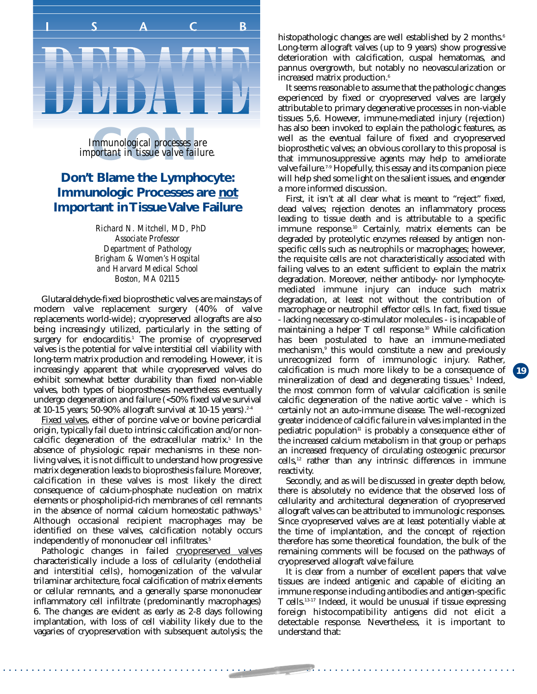## П  $\overline{\mathsf{S}}$  $\mathsf{C}$ B

*important in tissue valve failure. Immunological processes are*<br>*portant in tissue valve failur* 

#### **Don't Blame the Lymphocyte: Immunologic Processes are not Important in Tissue Valve Failure**

*Richard N. Mitchell, MD, PhD Associate Professor Department of Pathology Brigham & Women's Hospital and Harvard Medical School Boston, MA 02115*

Glutaraldehyde-fixed bioprosthetic valves are mainstays of modern valve replacement surgery (40% of valve replacements world-wide); cryopreserved allografts are also being increasingly utilized, particularly in the setting of surgery for endocarditis.<sup>1</sup> The promise of cryopreserved valves is the potential for valve interstitial cell viability with long-term matrix production and remodeling. However, it is increasingly apparent that while cryopreserved valves do exhibit somewhat better durability than fixed non-viable valves, both types of bioprostheses nevertheless eventually undergo degeneration and failure (<50% fixed valve survival at 10-15 years; 50-90% allograft survival at 10-15 years).<sup>2-4</sup>

Fixed valves, either of porcine valve or bovine pericardial origin, typically fail due to intrinsic calcification and/or noncalcific degeneration of the extracellular matrix.<sup>5</sup> In the absence of physiologic repair mechanisms in these nonliving valves, it is not difficult to understand how progressive matrix degeneration leads to bioprosthesis failure. Moreover, calcification in these valves is most likely the direct consequence of calcium-phosphate nucleation on matrix elements or phospholipid-rich membranes of cell remnants in the absence of normal calcium homeostatic pathways.<sup>5</sup> Although occasional recipient macrophages may be identified on these valves, calcification notably occurs independently of mononuclear cell infiltrates.<sup>5</sup>

Pathologic changes in failed cryopreserved valves characteristically include a loss of cellularity (endothelial and interstitial cells), homogenization of the valvular trilaminar architecture, focal calcification of matrix elements or cellular remnants, and a generally sparse mononuclear inflammatory cell infiltrate (predominantly macrophages) 6. The changes are evident as early as 2-8 days following implantation, with loss of cell viability likely due to the vagaries of cryopreservation with subsequent autolysis; the histopathologic changes are well established by 2 months.<sup>6</sup> Long-term allograft valves (up to 9 years) show progressive deterioration with calcification, cuspal hematomas, and pannus overgrowth, but notably no neovascularization or increased matrix production.<sup>6</sup>

It seems reasonable to assume that the pathologic changes experienced by fixed or cryopreserved valves are largely attributable to primary degenerative processes in non-viable tissues 5,6. However, immune-mediated injury (rejection) has also been invoked to explain the pathologic features, as well as the eventual failure of fixed and cryopreserved bioprosthetic valves; an obvious corollary to this proposal is that immunosuppressive agents may help to ameliorate valve failure.<sup>7-9</sup> Hopefully, this essay and its companion piece will help shed some light on the salient issues, and engender a more informed discussion.

First, it isn't at all clear what is meant to "reject" fixed, dead valves; rejection denotes an inflammatory process leading to tissue death and is attributable to a specific immune response.10 Certainly, matrix elements can be degraded by proteolytic enzymes released by antigen nonspecific cells such as neutrophils or macrophages; however, the requisite cells are not characteristically associated with failing valves to an extent sufficient to explain the matrix degradation. Moreover, neither antibody- nor lymphocytemediated immune injury can induce such matrix degradation, at least not without the contribution of macrophage or neutrophil effector cells. In fact, fixed tissue - lacking necessary co-stimulator molecules - is incapable of maintaining a helper T cell response.<sup>10</sup> While calcification has been postulated to have an immune-mediated mechanism,<sup>9</sup> this would constitute a new and previously unrecognized form of immunologic injury. Rather, calcification is much more likely to be a consequence of mineralization of dead and degenerating tissues.<sup>5</sup> Indeed, the most common form of valvular calcification is senile calcific degeneration of the native aortic valve - which is certainly not an auto-immune disease. The well-recognized greater incidence of calcific failure in valves implanted in the pediatric population<sup>11</sup> is probably a consequence either of the increased calcium metabolism in that group or perhaps an increased frequency of circulating osteogenic precursor cells,12 rather than any intrinsic differences in immune reactivity.

**19**

Secondly, and as will be discussed in greater depth below, there is absolutely no evidence that the observed loss of cellularity and architectural degeneration of cryopreserved allograft valves can be attributed to immunologic responses. Since cryopreserved valves are at least potentially viable at the time of implantation, and the concept of rejection therefore has some theoretical foundation, the bulk of the remaining comments will be focused on the pathways of cryopreserved allograft valve failure.

It is clear from a number of excellent papers that valve tissues are indeed antigenic and capable of eliciting an immune response including antibodies and antigen-specific T cells.13-17 Indeed, it would be unusual if tissue expressing foreign histocompatibility antigens did not elicit a detectable response. Nevertheless, it is important to understand that: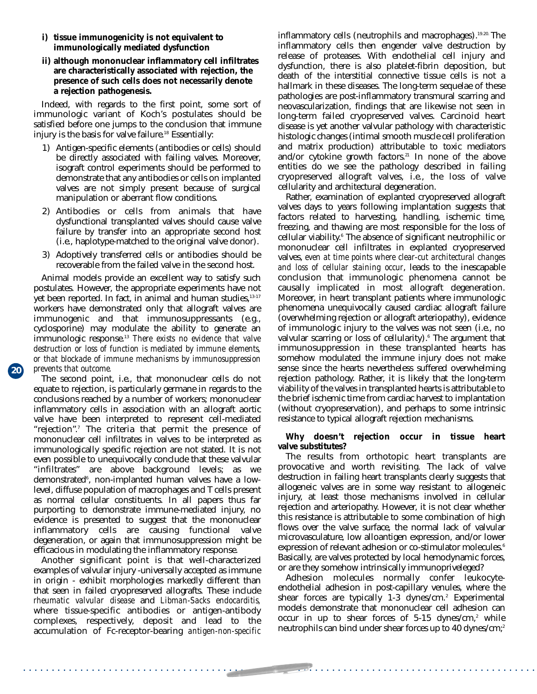- **i) tissue immunogenicity is not equivalent to immunologically mediated dysfunction**
- **ii) although mononuclear inflammatory cell infiltrates are characteristically associated with rejection, the presence of such cells does not necessarily denote a rejection pathogenesis.**

Indeed, with regards to the first point, some sort of immunologic variant of Koch's postulates should be satisfied before one jumps to the conclusion that immune injury is the basis for valve failure.<sup>18</sup> Essentially:

- 1) Antigen-specific elements (antibodies or cells) should be directly associated with failing valves. Moreover, isograft control experiments should be performed to demonstrate that any antibodies or cells on implanted valves are not simply present because of surgical manipulation or aberrant flow conditions.
- 2) Antibodies or cells from animals that have dysfunctional transplanted valves should cause valve failure by transfer into an appropriate second host (i.e., haplotype-matched to the original valve donor).
- 3) Adoptively transferred cells or antibodies should be recoverable from the failed valve in the second host.

Animal models provide an excellent way to satisfy such postulates. However, the appropriate experiments have not yet been reported. In fact, in animal and human studies, 13-17 workers have demonstrated only that allograft valves are immunogenic and that immunosuppressants (e.g., cyclosporine) may modulate the ability to generate an immunologic response.13 *There exists no evidence that valve destruction or loss of function is mediated by immune elements, or that blockade of immune mechanisms by immunosuppression prevents that outcome.*

**20**

The second point, i.e., that mononuclear cells do not equate to rejection, is particularly germane in regards to the conclusions reached by a number of workers; mononuclear inflammatory cells in association with an allograft aortic valve have been interpreted to represent cell-mediated "rejection".7 The criteria that permit the presence of mononuclear cell infiltrates in valves to be interpreted as immunologically specific rejection are not stated. It is not even possible to unequivocally conclude that these valvular "infiltrates" are above background levels; as we demonstrated<sup>6</sup>, non-implanted human valves have a lowlevel, diffuse population of macrophages and T cells present as normal cellular constituents. In all papers thus far purporting to demonstrate immune-mediated injury, no evidence is presented to suggest that the mononuclear inflammatory cells are causing functional valve degeneration, or again that immunosuppression might be efficacious in modulating the inflammatory response.

Another significant point is that well-characterized examples of valvular injury -universally accepted as immune in origin - exhibit morphologies markedly different than that seen in failed cryopreserved allografts. These include *rheumatic valvular disease* and *Libman-Sacks endocarditis,* where tissue-specific antibodies or antigen-antibody complexes, respectively, deposit and lead to the accumulation of Fc-receptor-bearing *antigen-non-specific* inflammatory cells (neutrophils and macrophages).<sup>19.20</sup> The inflammatory cells then engender valve destruction by release of proteases. With endothelial cell injury and dysfunction, there is also platelet-fibrin deposition, but death of the interstitial connective tissue cells is not a hallmark in these diseases. The long-term sequelae of these pathologies are post-inflammatory transmural scarring and neovascularization, findings that are likewise not seen in long-term failed cryopreserved valves. Carcinoid heart disease is yet another valvular pathology with characteristic histologic changes (intimal smooth muscle cell proliferation and matrix production) attributable to toxic mediators and/or cytokine growth factors.<sup>21</sup> In none of the above entities do we see the pathology described in failing cryopreserved allograft valves, i.e., the loss of valve cellularity and architectural degeneration.

Rather, examination of explanted cryopreserved allograft valves days to years following implantation suggests that factors related to harvesting, handling, ischemic time, freezing, and thawing are most responsible for the loss of cellular viability.6 The absence of significant neutrophilic or mononuclear cell infiltrates in explanted cryopreserved valves, *even at time points where clear-cut architectural changes and loss of cellular staining occur*, leads to the inescapable conclusion that immunologic phenomena cannot be causally implicated in most allograft degeneration. Moreover, in heart transplant patients where immunologic phenomena unequivocally caused cardiac allograft failure (overwhelming rejection or allograft arteriopathy), evidence of immunologic injury to the valves was not seen (i.e., no valvular scarring or loss of cellularity).<sup>6</sup> The argument that immunosuppression in these transplanted hearts has somehow modulated the immune injury does not make sense since the hearts nevertheless suffered overwhelming rejection pathology. Rather, it is likely that the long-term viability of the valves in transplanted hearts is attributable to the brief ischemic time from cardiac harvest to implantation (without cryopreservation), and perhaps to some intrinsic resistance to typical allograft rejection mechanisms.

#### **Why doesn't rejection occur in tissue heart valve substitutes?**

The results from orthotopic heart transplants are provocative and worth revisiting. The lack of valve destruction in failing heart transplants clearly suggests that allogeneic valves are in some way resistant to allogeneic injury, at least those mechanisms involved in cellular rejection and arteriopathy. However, it is not clear whether this resistance is attributable to some combination of high flows over the valve surface, the normal lack of valvular microvasculature, low alloantigen expression, and/or lower expression of relevant adhesion or co-stimulator molecules.<sup>6</sup> Basically, are valves protected by local hemodynamic forces, or are they somehow intrinsically immunopriveleged?

Adhesion molecules normally confer leukocyteendothelial adhesion in post-capillary venules, where the shear forces are typically  $1-3$  dynes/cm.<sup>2</sup> Experimental models demonstrate that mononuclear cell adhesion can occur in up to shear forces of  $5-15$  dynes/cm,<sup>2</sup> while neutrophils can bind under shear forces up to 40 dynes/cm;<sup>2</sup>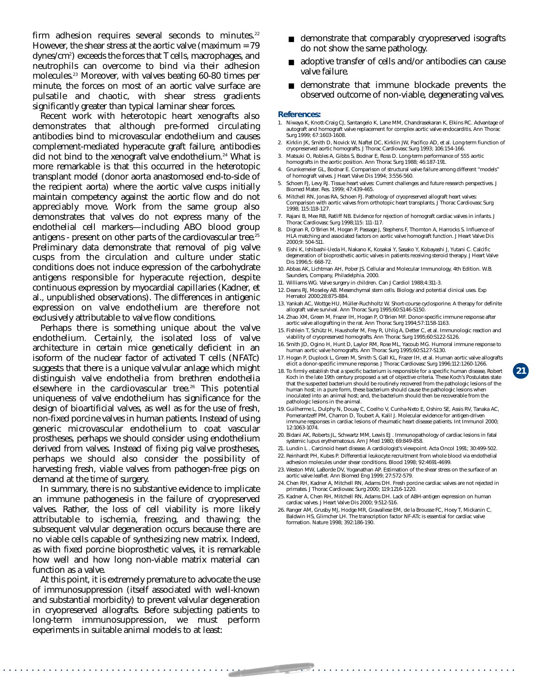firm adhesion requires several seconds to minutes.<sup>22</sup> However, the shear stress at the aortic valve (maximum = 79 dynes/cm2 ) exceeds the forces that T cells, macrophages, and neutrophils can overcome to bind via their adhesion molecules.23 Moreover, with valves beating 60-80 times per minute, the forces on most of an aortic valve surface are pulsatile and chaotic, with shear stress gradients significantly greater than typical laminar shear forces.

Recent work with heterotopic heart xenografts also demonstrates that although pre-formed circulating antibodies bind to microvascular endothelium and causes complement-mediated hyperacute graft failure, antibodies did not bind to the xenograft valve endothelium.<sup>24</sup> What is more remarkable is that this occurred in the heterotopic transplant model (donor aorta anastomosed end-to-side of the recipient aorta) where the aortic valve cusps initially maintain competency against the aortic flow and do not appreciably move. Work from the same group also demonstrates that valves do not express many of the endothelial cell markers—including ABO blood group antigens - present on other parts of the cardiovascular tree.<sup>25</sup> Preliminary data demonstrate that removal of pig valve cusps from the circulation and culture under static conditions does not induce expression of the carbohydrate antigens responsible for hyperacute rejection, despite continuous expression by myocardial capillaries (Kadner, et al., unpublished observations). The differences in antigenic expression on valve endothelium are therefore not exclusively attributable to valve flow conditions.

Perhaps there is something unique about the valve endothelium. Certainly, the isolated loss of valve architecture in certain mice genetically deficient in an isoform of the nuclear factor of activated T cells (NFATc) suggests that there is a unique valvular anlage which might distinguish valve endothelia from brethren endothelia elsewhere in the cardiovascular tree.26 This potential uniqueness of valve endothelium has significance for the design of bioartificial valves, as well as for the use of fresh, non-fixed porcine valves in human patients. Instead of using generic microvascular endothelium to coat vascular prostheses, perhaps we should consider using endothelium derived from valves. Instead of fixing pig valve prostheses, perhaps we should also consider the possibility of harvesting fresh, viable valves from pathogen-free pigs on demand at the time of surgery.

In summary, there is no substantive evidence to implicate an immune pathogenesis in the failure of cryopreserved valves. Rather, the loss of cell viability is more likely attributable to ischemia, freezing, and thawing; the subsequent valvular degeneration occurs because there are no viable cells capable of synthesizing new matrix. Indeed, as with fixed porcine bioprosthetic valves, it is remarkable how well and how long non-viable matrix material can function as a valve.

At this point, it is extremely premature to advocate the use of immunosuppression (itself associated with well-known and substantial morbidity) to prevent valvular degeneration in cryopreserved allografts. Before subjecting patients to long-term immunosuppression, we must perform experiments in suitable animal models to at least:

- demonstrate that comparably cryopreserved isografts do not show the same pathology.
- adoptive transfer of cells and/or antibodies can cause valve failure.
- demonstrate that immune blockade prevents the observed outcome of non-viable, degenerating valves.

#### **References:**

- 1. Niwaya K, Knott-Craig CJ, Santangelo K, Lane MM, Chandrasekaran K, Elkins RC. Advantage of autograft and homograft valve replacement for complex aortic valve endocarditis. Ann Thora Surg 1999; 67:1603-1608.
- 2. Kirklin JK, Smith D, Novick W, Naftel DC, Kirklin JW, Pacifico AD, et al. Long-term fiunction of cryopreserved aortic homografts. J Thorac Cardiovasc Surg 1993; 106:154-166.
- 3. Matsuki O, Robles A, Gibbs S, Bodnar E, Ross D. Long-term performance of 555 aortic homografts in the aortic position. Ann Thorac Surg 1988; 46:187-191.
- 4. Grunkemeier GL, Bodnar E. Comparison of structural valve failure among different "models" of homograft valves. J Heart Valve Dis 1994; 3:556-560.
- 5. Schoen FJ, Levy RJ. Tissue heart valves: Current challenges and future research perspectives. J Biomed Mater. Res. 1999; 47:439-465.
- 6. Mitchell RN, Jonas RA, Schoen FJ. Pathology of cryopreserved allograft heart valves: Comparison with aortic valves from orthotopic heart transplants. J Thorac Cardiovasc Surg 1998; 115:118-127.
- 7. Rajani B, Mee RB, Ratliff NB. Evidence for rejection of homograft cardiac valves in infants. J Thorac Cardiovasc Surg 1998;115: 111-117.
- 8. Dignan R, O'Brien M, Hogan P, Passage J, Stephens F, Thornton A, Harrocks S. Influence of HLA matching and associated factors on aortic valve homograft function. J Heart Valve Dis  $2000.9: 504.511$
- 9. Eishi K, Ishibashi-Ueda H, Nakano K, Kosakai Y, Sasako Y, Kobayashi J, Yutani C. Calcific degeneration of bioprosthetic aortic valves in patients receiving steroid therapy. J Heart Valve Dis 1996;5: 668-72.
- 10. Abbas AK, Lichtman AH, Pober JS. Cellular and Molecular Immunology, 4th Edition. W.B. Saunders, Company, Philadelphia. 2000.
- 11. Williams WG. Valve surgery in children. Can J Cardiol 1988;4:311-3.
- 12. Deans RJ, Moseley AB. Mesenchymal stem cells. Biology and potential clinical uses. Exp Hematol 2000;28:875-884.
- 13. Yankah AC, Wottge HU, Müller-Ruchholtz W. Short-course cyclosporine. A therapy for definite allograft valve survival. Ann Thorac Surg 1995;60:S146-S150.
- 14. Zhao XM, Green M, Frazer IH, Hogan P, O'Brien MF. Donor-specific immune response after aortic valve allografting in the rat. Ann Thorac Surg 1994;57:1158-1163.
- 15. Fishlein T, Schütz H, Haushofer M, Frey R, Uhlig A, Detter C, et al. Immunologic reaction and viability of cryopreserved homografts. Ann Thorac Surg 1995;60:S122-S126.
- 16. Smith JD, Ogino H, Hunt D, Laylor RM, Rose ML, Yacoub MG. Humoral immune response to human aortic valve homografts. Ann Thorac Surg 1995;60:S127-S130.
- 17. Hogan P, Duplock L, Green M, Smith S, Gall KL, Frazer IH, et al. Human aortic valve allografts elicit a donor-specific immune response. J Thorac Cardiovasc Surg 1996;112:1260-1266.

**21**

- 18. To firmly establish that a specific bacterium is responsible for a specific human disease, Robert Koch in the late 19th century proposed a set of objective criteria. These Koch's Postulates state that the suspected bacterium should be routinely recovered from the pathologic lesions of the human host; in a pure form, these bacterium should cause the pathologic lesions when inoculated into an animal host; and, the bacterium should then be recoverable from the pathologic lesions in the animal.
- 19. Guilherme L, Dulphy N, Douay C, Coelho V, Cunha-Neto E, Oshiro SE, Assis RV, Tanaka AC, Pomerantzeff PM, Charron D, Toubert A, Kalil J. Molecular evidence for antigen-driven immune responses in cardiac lesions of rheumatic heart disease patients. Int Immunol 2000; 12:1063-1074.
- 20. Bidani AK, Roberts JL, Schwartz MM, Lewis EJ . Immunopathology of cardiac lesions in fatal systemic lupus erythematosus. Am J Med 1980; 69:849-858.
- 21. Lundin L . Carcinoid heart disease. A cardiologist's viewpoint. Acta Oncol 1991; 30:499-502.
- 22. Reinhardt PH, Kubes P. Differential leukocyte recruitment from whole blood via endothelial adhesion molecules under shear conditions. Blood 1998; 92:4691-4699.
- 23. Weston MW, LaBorde DV, Yoganathan AP. Estimation of the shear stress on the surface of an aortic valve leaflet. Ann Biomed Eng 1999; 27:572-579.
- 24. Chen RH, Kadner A, Mitchell RN, Adams DH. Fresh porcine cardiac valves are not rejected in primates. J Thorac Cardiovasc Surg 2000; 119:1216-1220.
- 25. Kadner A, Chen RH, Mitchell RN, Adams DH. Lack of ABH-antigen expression on human cardiac valves. J Heart Valve Dis 2000; 9:512-516.
- 26. Ranger AM, Grusby MJ, Hodge MR, Gravallese EM, de la Brousse FC, Hoey T, Mickanin C, Baldwin HS, Glimcher LH. The transcription factor NF-ATc is essential for cardiac valve formation. Nature 1998; 392:186-190.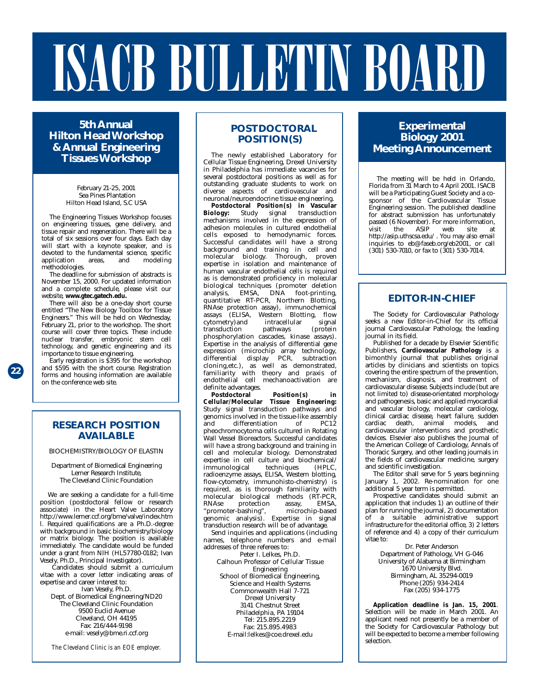## ISACB BULLETIN BOARD

**5th Annual Hilton Head Workshop & Annual Engineering Tissues Workshop**

> February 21-25, 2001 Sea Pines Plantation Hilton Head Island, S.C USA

The Engineering Tissues Workshop focuses on engineering tissues, gene delivery, and tissue repair and regeneration. There will be a total of six sessions over four days. Each day will start with a keynote speaker, and is devoted to the fundamental science, specific<br>application areas, and modeling application methodologies.

The deadline for submission of abstracts is November 15, 2000. For updated information and a complete schedule, please visit our website, **www.gtec.gatech.edu.** 

There will also be a one-day short course entitled "The New Biology Toolbox for Tissue Engineers." This will be held on Wednesday, February 21, prior to the workshop. The short course will cover three topics. These include nuclear transfer, embryonic stem cell technology, and genetic engineering and its importance to tissue engineering.

Early registration is \$395 for the workshop and \$595 with the short course. Registration forms and housing information are available on the conference web site.

#### **RESEARCH POSITION AVAILABLE**

BIOCHEMISTRY/BIOLOGY OF ELASTIN

Department of Biomedical Engineering Lerner Research Institute, The Cleveland Clinic Foundation

We are seeking a candidate for a full-time position (postdoctoral fellow or research associate) in the Heart Valve Laboratory http://www.lerner.ccf.org/bme/valve/index.htm l. Required qualifications are a Ph.D.-degree with background in basic biochemistry/biology or matrix biology. The position is available immediately. The candidate would be funded under a grant from NIH (HL57780-0182; Ivan Vesely, Ph.D., Principal Investigator).

Candidates should submit a curriculum vitae with a cover letter indicating areas of expertise and career interest to: Ivan Vesely, Ph.D.

Dept. of Biomedical Engineering/ND20 The Cleveland Clinic Foundation 9500 Euclid Avenue Cleveland, OH 44195 Fax: 216/444-9198 e-mail: vesely@bme.ri.ccf.org

*The Cleveland Clinic is an EOE employer.* 

#### **POSTDOCTORAL POSITION(S)**

The newly established Laboratory for Cellular Tissue Engineering, Drexel University in Philadelphia has immediate vacancies for several postdoctoral positions as well as for outstanding graduate students to work on diverse aspects of cardiovascular and neuronal/neuroendocrine tissue engineering.

**Postdoctoral Position(s) in Vascular Biology:** Study signal transduction mechanisms involved in the expression of adhesion molecules in cultured endothelial cells exposed to hemodynamic forces. Successful candidates will have a strong background and training in cell and molecular biology. Thorough, proven expertise in isolation and maintenance of human vascular endothelial cells is required as is demonstrated proficiency in molecular biological techniques (promoter deletion analysis, EMSA, DNA foot-printing, quantitative RT-PCR, Northern Blotting, RNAse protection assay), immunochemical assays (ELISA, Western Blotting, flow cytometry)and intracellular signal transduction pathways (protein phosphorylation cascades, kinase assays). Expertise in the analysis of differential gene expression (microchip array technology, differential display PCR, subtraction cloning,etc.), as well as demonstrated, familiarity with theory and praxis of endothelial cell mechanoactivation are definite advantages.

**Postdoctoral Position(s) in Cellular/Molecular Tissue Engineering:** Study signal transduction pathways and genomics involved in the tissue-like assembly and differentiation of PC12 pheochromocytoma cells cultured in Rotating Wall Vessel Bioreactors. Successful candidates will have a strong background and training in cell and molecular biology. Demonstrated expertise in cell culture and biochemical/ immunological radioenzyme assays, ELISA, Western blotting, flow-cytometry, immunohisto-chemistry) is required, as is thorough familiarity with molecular biological methods (RT-PCR,<br>RNAse protection assay, EMSA, RNAse protection assay, EMSA, "promoter-bashing", microchip-based genomic analysis). Expertise in signal transduction research will be of advantage.

Send inquiries and applications (including names, telephone numbers and e-mail addresses of three referees to:

Peter I. Lelkes, Ph.D.

Calhoun Professor of Cellular Tissue Engineering School of Biomedical Engineering, Science and Health Systems Commonwealth Hall 7-721 Drexel University 3141 Chestnut Street Philadelphia, PA 19104 Tel: 215.895.2219 Fax: 215.895.4983 E-mail:lelkes@coe.drexel.edu

#### **Experimental Biology 2001 Meeting Announcement**

The meeting will be held in Orlando, Florida from 31 March to 4 April 2001. ISACB will be a Participating Guest Society and a cosponsor of the Cardiovascular Tissue Engineering session. The published deadline for abstract submission has unfortunately passed (6 November). For more information, visit the ASIP web site at http://asip.uthscsa.edu/ . You may also email inquiries to eb@faseb.org/eb2001, or call (301) 530-7010, or fax to (301) 530-7014.

#### **EDITOR-IN-CHIEF**

The Society for Cardiovascular Pathology seeks a new Editor-in-Chief for its official journal Cardiovascular Pathology, the leading journal in its field.

Published for a decade by Elsevier Scientific Publishers, **Cardiovascular Pathology** is a bimonthly journal that publishes original articles by clinicians and scientists on topics covering the entire spectrum of the prevention, mechanism, diagnosis, and treatment of cardiovascular disease. Subjects include (but are not limited to) disease-orientated morphology and pathogenesis, basic and applied myocardial and vascular biology, molecular cardiology, clinical cardiac disease, heart failure, sudden cardiac death, animal models, and cardiovascular interventions and prosthetic devices. Elsevier also publishes the Journal of the American College of Cardiology, Annals of Thoracic Surgery, and other leading journals in the fields of cardiovascular medicine, surgery and scientific investigation.

The Editor shall serve for 5 years beginning January 1, 2002. Re-nomination for one additional 5 year term is permitted.

Prospective candidates should submit an application that includes 1) an outline of their plan for running the journal, 2) documentation of a suitable administrative support infrastructure for the editorial office, 3) 2 letters of reference and 4) a copy of their curriculum vitae to:

Dr. Peter Anderson Department of Pathology, VH G-046 University of Alabama at Birmingham 1670 University Blvd. Birmingham, AL 35294-0019 Phone (205) 934-2414 Fax (205) 934-1775

**Application deadline is Jan. 15, 2001**. Selection will be made in March 2001. An applicant need not presently be a member of the Society for Cardiovascular Pathology but will be expected to become a member following selection.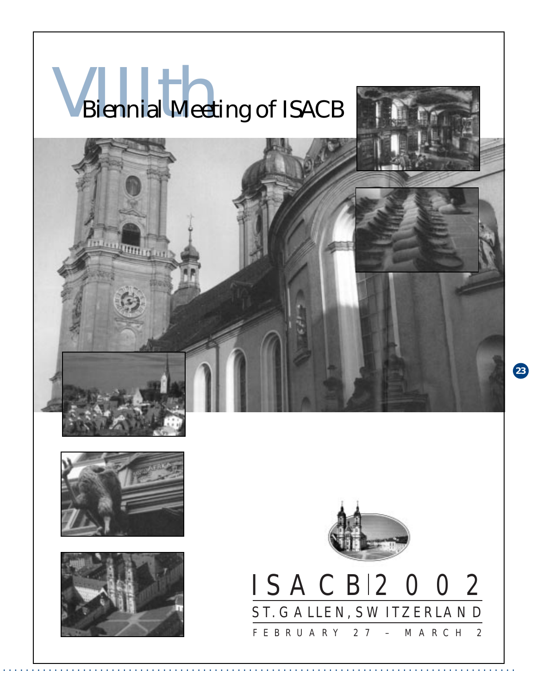## **VERNIET DE SOUTHERN AND SERVICE SERVICE SERVICE SERVICE SERVICE SERVICE SERVICE SERVICE SERVICE SERVICE SERVICE SERVICE SERVICE SERVICE SERVICE SERVICE SERVICE SERVICE SERVICE SERVICE SERVICE SERVICE SERVICE SERVICE SERVI**



. . . . . . . . . . . . . . . . . . . . . . . . . . . . . . . . . . . . . . . . . . . . . . . . . . . . . . . . . . . . . . . . . . . . . . . . . . . . . . . . . . . . . . . . . .









**23**